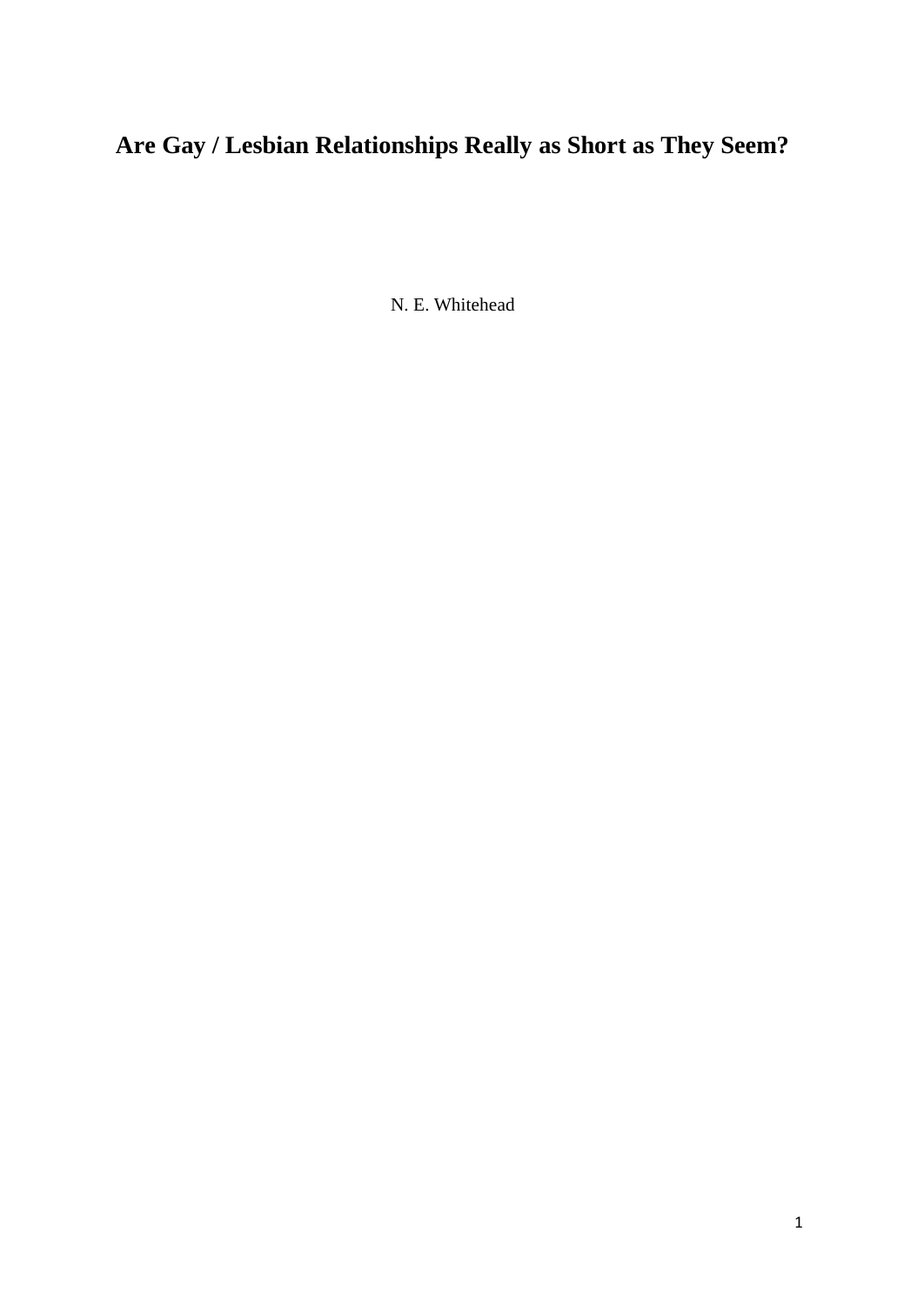N. E. Whitehead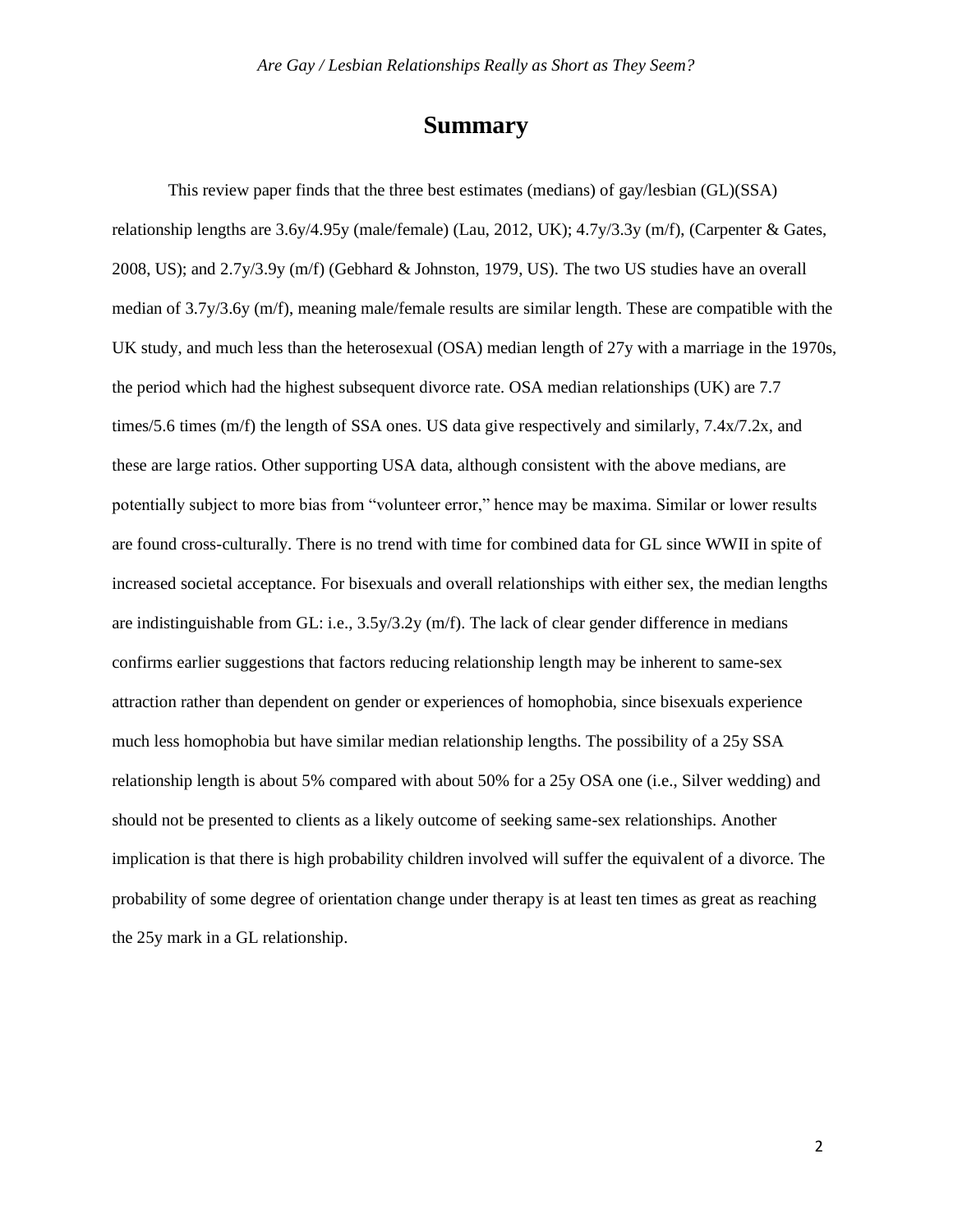# **Summary**

This review paper finds that the three best estimates (medians) of gay/lesbian (GL)(SSA) relationship lengths are 3.6y/4.95y (male/female) (Lau, 2012, UK); 4.7y/3.3y (m/f), (Carpenter & Gates, 2008, US); and 2.7y/3.9y (m/f) (Gebhard & Johnston, 1979, US). The two US studies have an overall median of 3.7y/3.6y (m/f), meaning male/female results are similar length. These are compatible with the UK study, and much less than the heterosexual (OSA) median length of 27y with a marriage in the 1970s, the period which had the highest subsequent divorce rate. OSA median relationships (UK) are 7.7 times/5.6 times (m/f) the length of SSA ones. US data give respectively and similarly, 7.4x/7.2x, and these are large ratios. Other supporting USA data, although consistent with the above medians, are potentially subject to more bias from "volunteer error," hence may be maxima. Similar or lower results are found cross-culturally. There is no trend with time for combined data for GL since WWII in spite of increased societal acceptance. For bisexuals and overall relationships with either sex, the median lengths are indistinguishable from GL: i.e.,  $3.5y/3.2y$  (m/f). The lack of clear gender difference in medians confirms earlier suggestions that factors reducing relationship length may be inherent to same-sex attraction rather than dependent on gender or experiences of homophobia, since bisexuals experience much less homophobia but have similar median relationship lengths. The possibility of a 25y SSA relationship length is about 5% compared with about 50% for a 25y OSA one (i.e., Silver wedding) and should not be presented to clients as a likely outcome of seeking same-sex relationships. Another implication is that there is high probability children involved will suffer the equivalent of a divorce. The probability of some degree of orientation change under therapy is at least ten times as great as reaching the 25y mark in a GL relationship.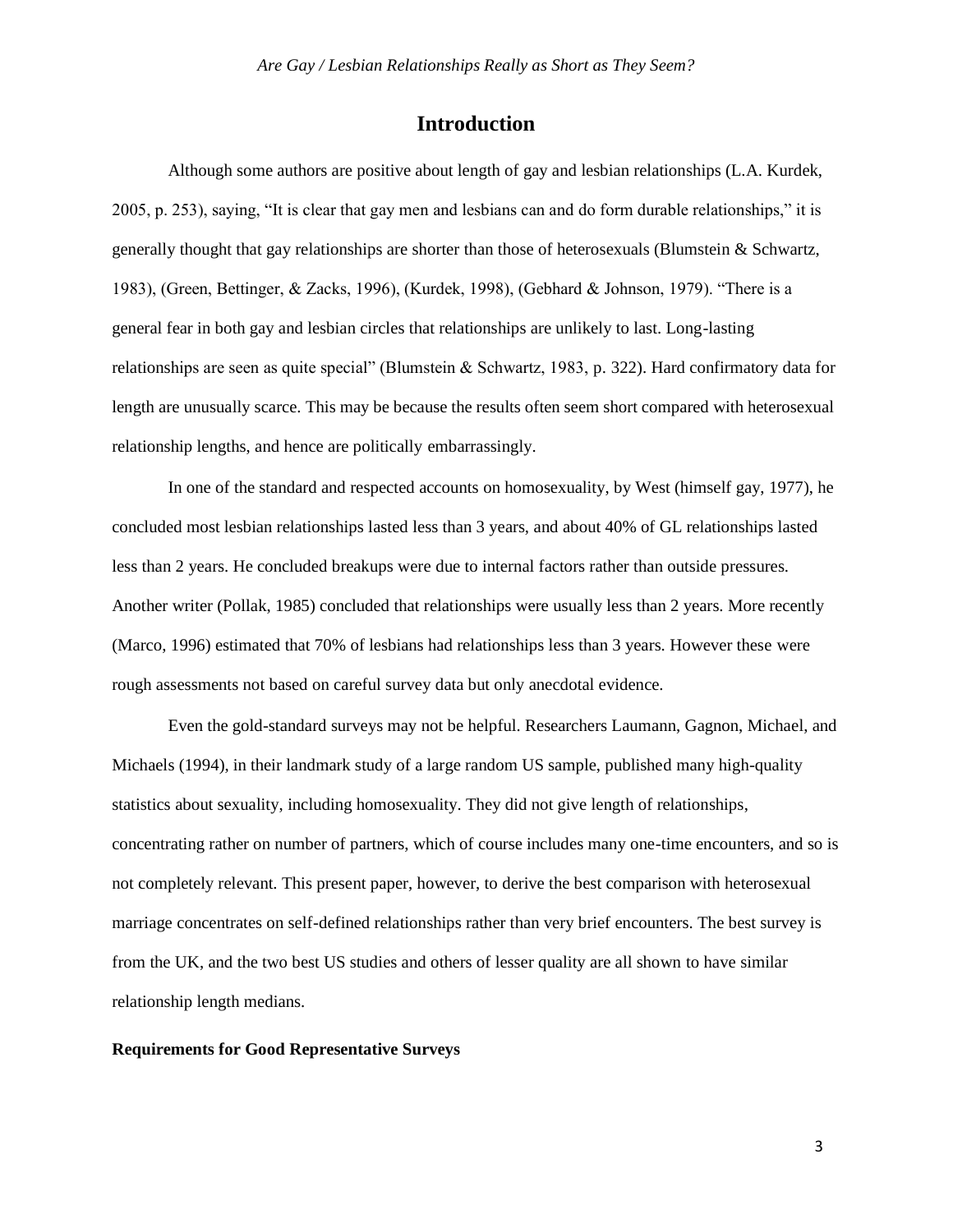# **Introduction**

Although some authors are positive about length of gay and lesbian relationships (L.A. Kurdek, 2005, p. 253), saying, "It is clear that gay men and lesbians can and do form durable relationships," it is generally thought that gay relationships are shorter than those of heterosexuals (Blumstein & Schwartz, 1983), (Green, Bettinger, & Zacks, 1996), (Kurdek, 1998), (Gebhard & Johnson, 1979). "There is a general fear in both gay and lesbian circles that relationships are unlikely to last. Long-lasting relationships are seen as quite special" (Blumstein & Schwartz, 1983, p. 322). Hard confirmatory data for length are unusually scarce. This may be because the results often seem short compared with heterosexual relationship lengths, and hence are politically embarrassingly.

In one of the standard and respected accounts on homosexuality, by West (himself gay, 1977), he concluded most lesbian relationships lasted less than 3 years, and about 40% of GL relationships lasted less than 2 years. He concluded breakups were due to internal factors rather than outside pressures. Another writer (Pollak, 1985) concluded that relationships were usually less than 2 years. More recently (Marco, 1996) estimated that 70% of lesbians had relationships less than 3 years. However these were rough assessments not based on careful survey data but only anecdotal evidence.

Even the gold-standard surveys may not be helpful. Researchers Laumann, Gagnon, Michael, and Michaels (1994), in their landmark study of a large random US sample, published many high-quality statistics about sexuality, including homosexuality. They did not give length of relationships, concentrating rather on number of partners, which of course includes many one-time encounters, and so is not completely relevant. This present paper, however, to derive the best comparison with heterosexual marriage concentrates on self-defined relationships rather than very brief encounters. The best survey is from the UK, and the two best US studies and others of lesser quality are all shown to have similar relationship length medians.

### **Requirements for Good Representative Surveys**

3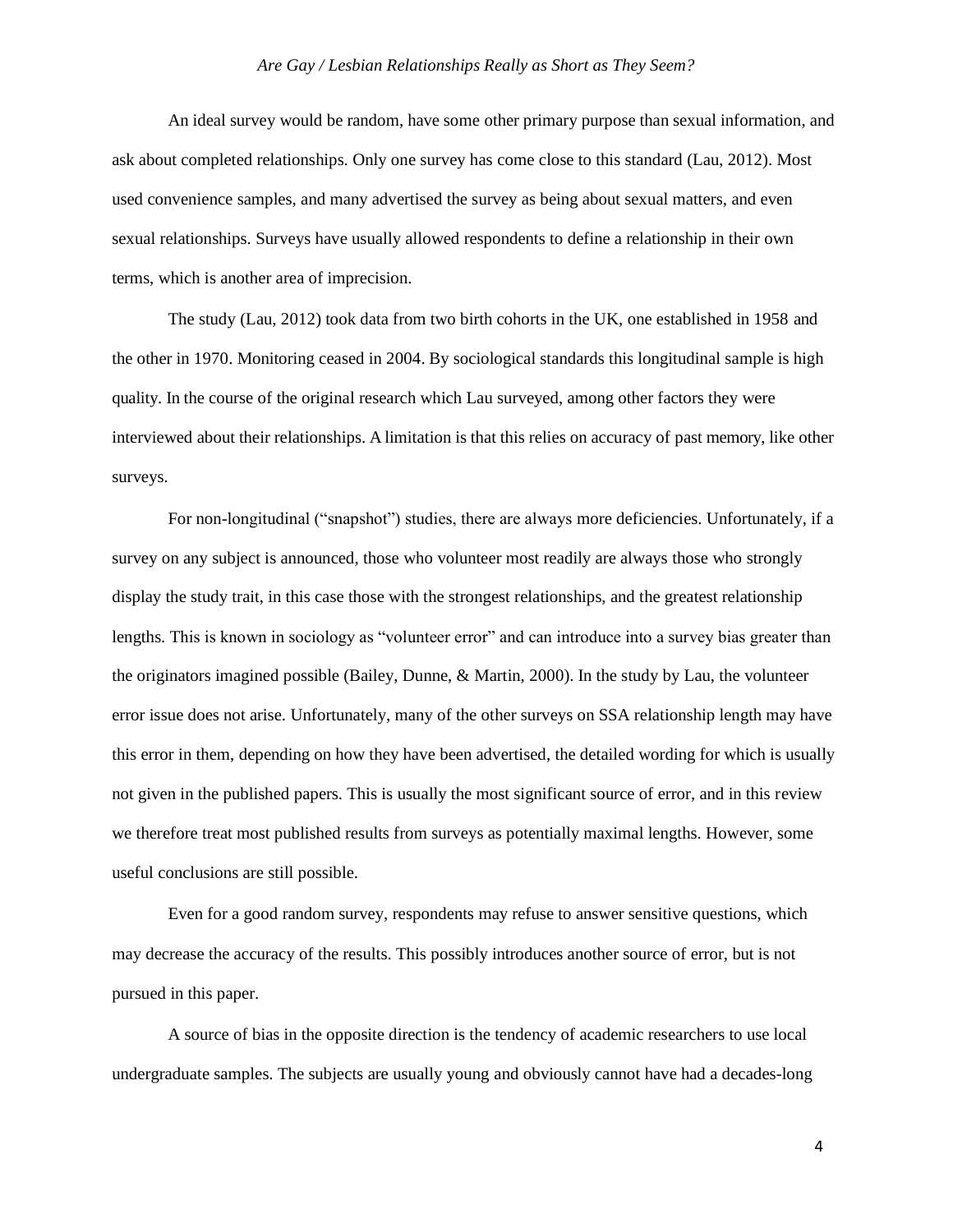An ideal survey would be random, have some other primary purpose than sexual information, and ask about completed relationships. Only one survey has come close to this standard (Lau, 2012). Most used convenience samples, and many advertised the survey as being about sexual matters, and even sexual relationships. Surveys have usually allowed respondents to define a relationship in their own terms, which is another area of imprecision.

The study (Lau, 2012) took data from two birth cohorts in the UK, one established in 1958 and the other in 1970. Monitoring ceased in 2004. By sociological standards this longitudinal sample is high quality. In the course of the original research which Lau surveyed, among other factors they were interviewed about their relationships. A limitation is that this relies on accuracy of past memory, like other surveys.

For non-longitudinal ("snapshot") studies, there are always more deficiencies. Unfortunately, if a survey on any subject is announced, those who volunteer most readily are always those who strongly display the study trait, in this case those with the strongest relationships, and the greatest relationship lengths. This is known in sociology as "volunteer error" and can introduce into a survey bias greater than the originators imagined possible (Bailey, Dunne, & Martin, 2000). In the study by Lau, the volunteer error issue does not arise. Unfortunately, many of the other surveys on SSA relationship length may have this error in them, depending on how they have been advertised, the detailed wording for which is usually not given in the published papers. This is usually the most significant source of error, and in this review we therefore treat most published results from surveys as potentially maximal lengths. However, some useful conclusions are still possible.

Even for a good random survey, respondents may refuse to answer sensitive questions, which may decrease the accuracy of the results. This possibly introduces another source of error, but is not pursued in this paper.

A source of bias in the opposite direction is the tendency of academic researchers to use local undergraduate samples. The subjects are usually young and obviously cannot have had a decades-long

4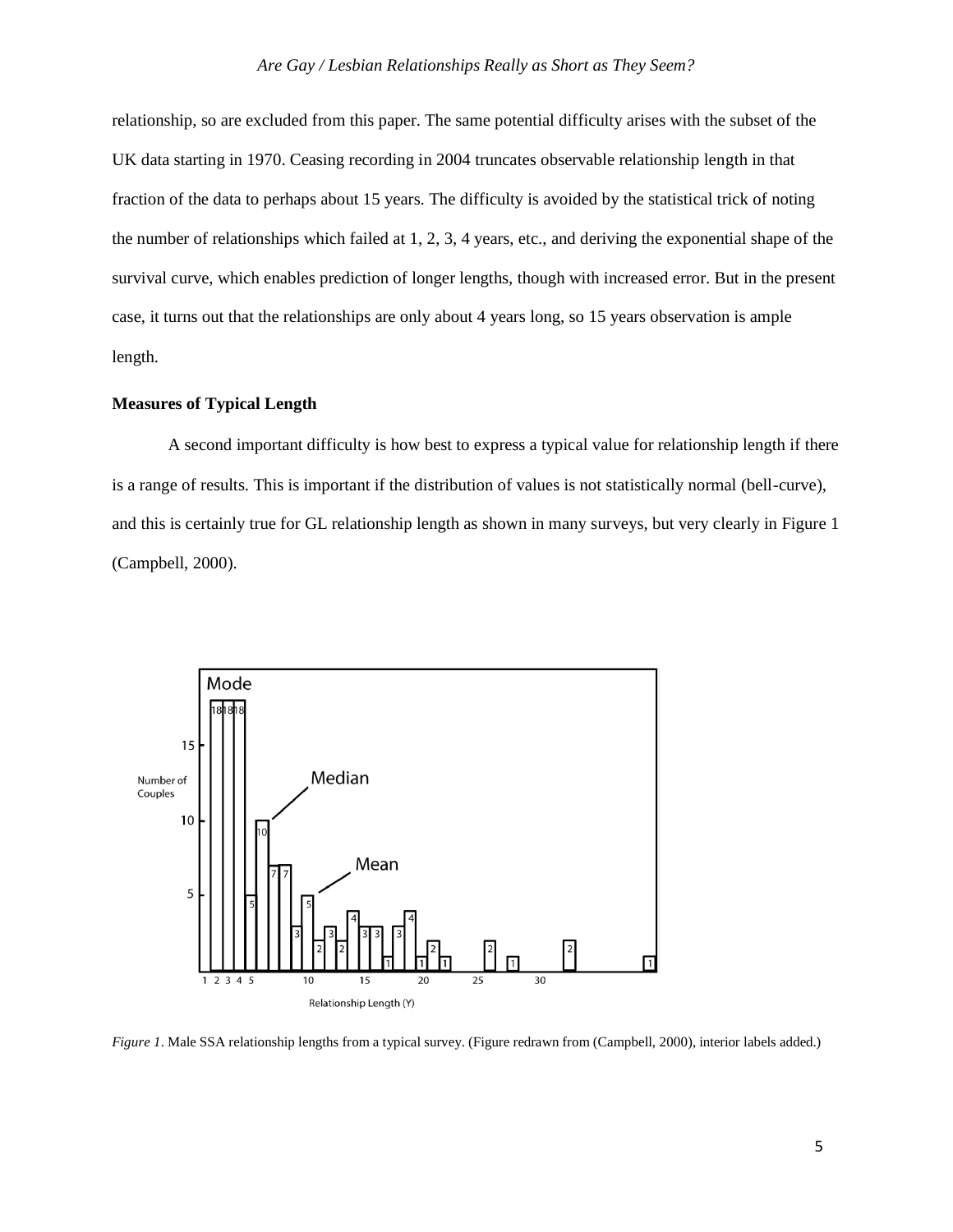relationship, so are excluded from this paper. The same potential difficulty arises with the subset of the UK data starting in 1970. Ceasing recording in 2004 truncates observable relationship length in that fraction of the data to perhaps about 15 years. The difficulty is avoided by the statistical trick of noting the number of relationships which failed at 1, 2, 3, 4 years, etc., and deriving the exponential shape of the survival curve, which enables prediction of longer lengths, though with increased error. But in the present case, it turns out that the relationships are only about 4 years long, so 15 years observation is ample length.

# **Measures of Typical Length**

A second important difficulty is how best to express a typical value for relationship length if there is a range of results. This is important if the distribution of values is not statistically normal (bell-curve), and this is certainly true for GL relationship length as shown in many surveys, but very clearly in Figure 1 (Campbell, 2000).



*Figure 1*. Male SSA relationship lengths from a typical survey. (Figure redrawn from (Campbell, 2000), interior labels added.)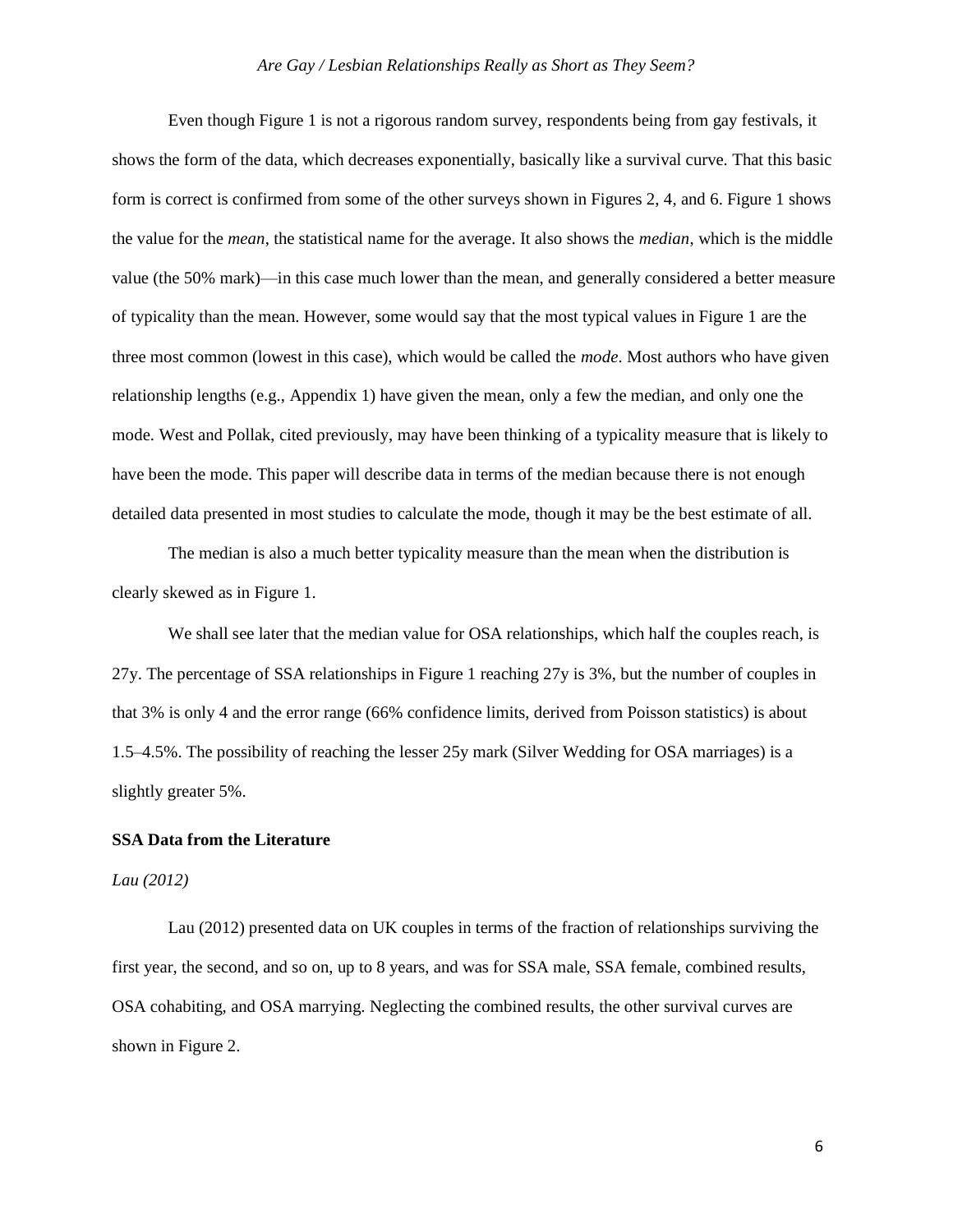Even though Figure 1 is not a rigorous random survey, respondents being from gay festivals, it shows the form of the data, which decreases exponentially, basically like a survival curve. That this basic form is correct is confirmed from some of the other surveys shown in Figures 2, 4, and 6. Figure 1 shows the value for the *mean*, the statistical name for the average. It also shows the *median*, which is the middle value (the 50% mark)—in this case much lower than the mean, and generally considered a better measure of typicality than the mean. However, some would say that the most typical values in Figure 1 are the three most common (lowest in this case), which would be called the *mode*. Most authors who have given relationship lengths (e.g., Appendix 1) have given the mean, only a few the median, and only one the mode. West and Pollak, cited previously, may have been thinking of a typicality measure that is likely to have been the mode. This paper will describe data in terms of the median because there is not enough detailed data presented in most studies to calculate the mode, though it may be the best estimate of all.

The median is also a much better typicality measure than the mean when the distribution is clearly skewed as in Figure 1.

We shall see later that the median value for OSA relationships, which half the couples reach, is 27y. The percentage of SSA relationships in Figure 1 reaching 27y is 3%, but the number of couples in that 3% is only 4 and the error range (66% confidence limits, derived from Poisson statistics) is about 1.5–4.5%. The possibility of reaching the lesser 25y mark (Silver Wedding for OSA marriages) is a slightly greater 5%.

# **SSA Data from the Literature**

#### *Lau (2012)*

Lau (2012) presented data on UK couples in terms of the fraction of relationships surviving the first year, the second, and so on, up to 8 years, and was for SSA male, SSA female, combined results, OSA cohabiting, and OSA marrying. Neglecting the combined results, the other survival curves are shown in Figure 2.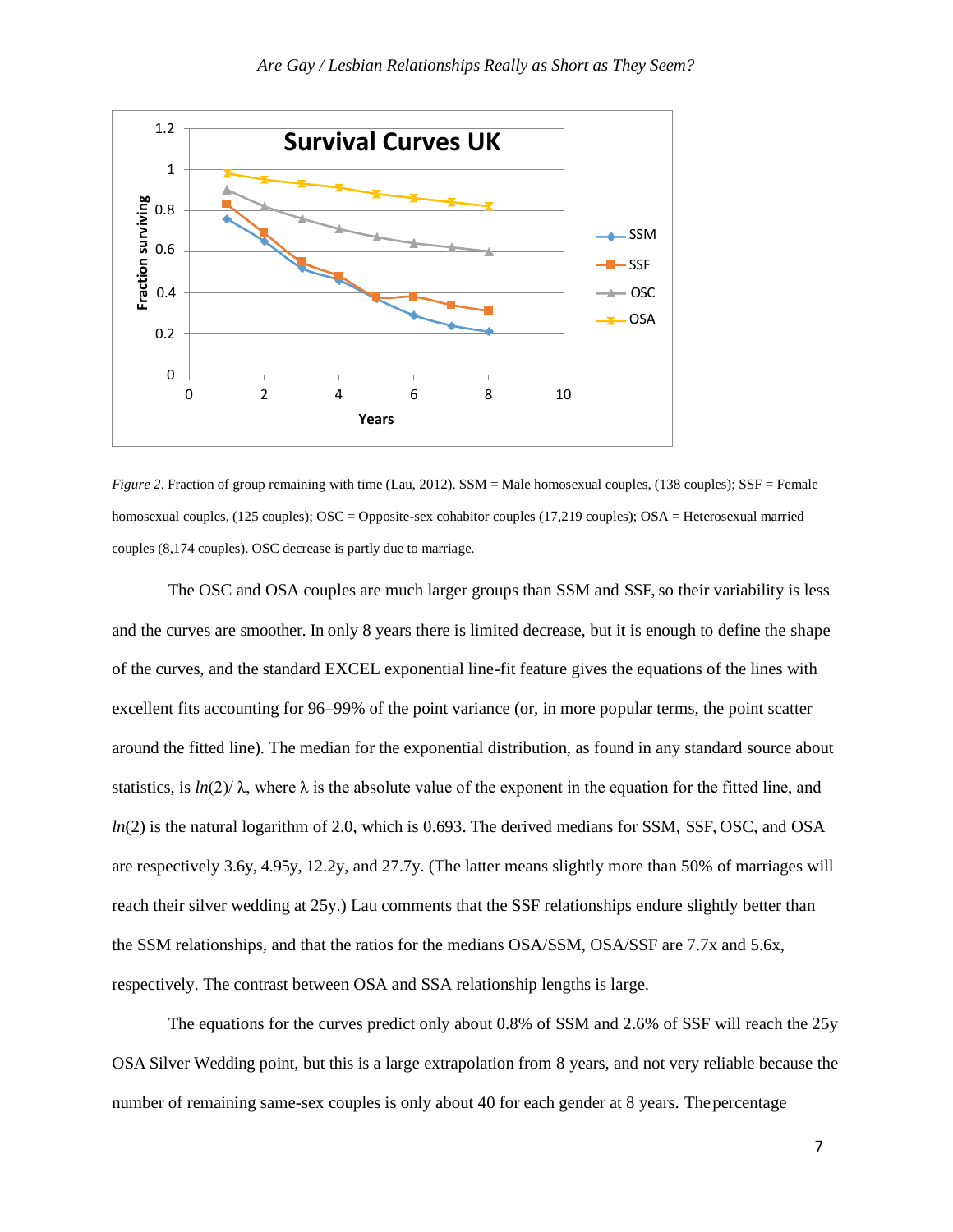

*Figure 2*. Fraction of group remaining with time (Lau, 2012). SSM = Male homosexual couples, (138 couples); SSF = Female homosexual couples, (125 couples); OSC = Opposite-sex cohabitor couples (17,219 couples); OSA = Heterosexual married couples (8,174 couples). OSC decrease is partly due to marriage.

The OSC and OSA couples are much larger groups than SSM and SSF, so their variability is less and the curves are smoother. In only 8 years there is limited decrease, but it is enough to define the shape of the curves, and the standard EXCEL exponential line-fit feature gives the equations of the lines with excellent fits accounting for 96–99% of the point variance (or, in more popular terms, the point scatter around the fitted line). The median for the exponential distribution, as found in any standard source about statistics, is  $ln(2)/\lambda$ , where  $\lambda$  is the absolute value of the exponent in the equation for the fitted line, and *ln*(2) is the natural logarithm of 2.0, which is 0.693. The derived medians for SSM, SSF, OSC, and OSA are respectively 3.6y, 4.95y, 12.2y, and 27.7y. (The latter means slightly more than 50% of marriages will reach their silver wedding at 25y.) Lau comments that the SSF relationships endure slightly better than the SSM relationships, and that the ratios for the medians OSA/SSM, OSA/SSF are 7.7x and 5.6x, respectively. The contrast between OSA and SSA relationship lengths is large.

The equations for the curves predict only about 0.8% of SSM and 2.6% of SSF will reach the 25y OSA Silver Wedding point, but this is a large extrapolation from 8 years, and not very reliable because the number of remaining same-sex couples is only about 40 for each gender at 8 years. Thepercentage

7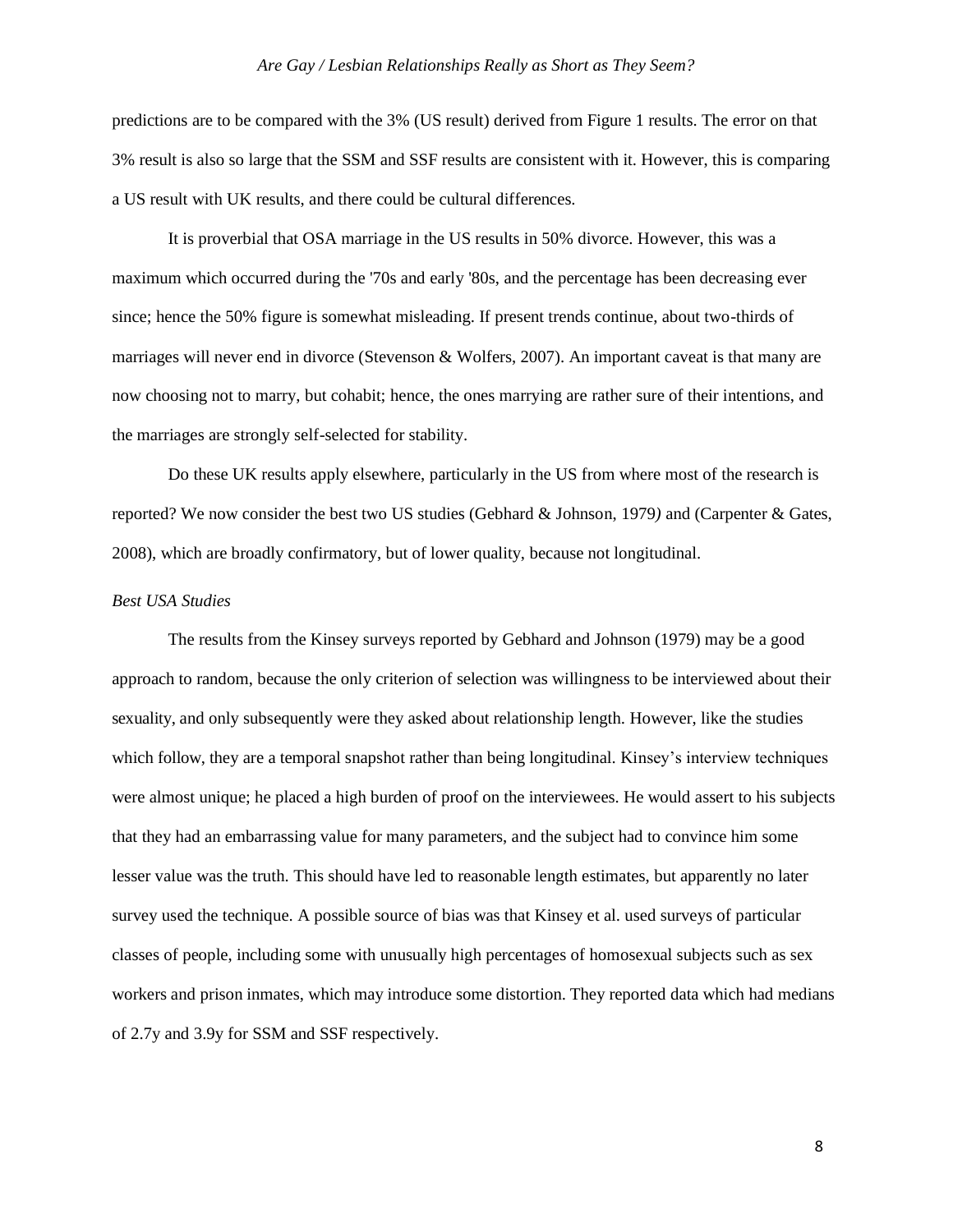predictions are to be compared with the 3% (US result) derived from Figure 1 results. The error on that 3% result is also so large that the SSM and SSF results are consistent with it. However, this is comparing a US result with UK results, and there could be cultural differences.

It is proverbial that OSA marriage in the US results in 50% divorce. However, this was a maximum which occurred during the '70s and early '80s, and the percentage has been decreasing ever since; hence the 50% figure is somewhat misleading. If present trends continue, about two-thirds of marriages will never end in divorce (Stevenson & Wolfers, 2007). An important caveat is that many are now choosing not to marry, but cohabit; hence, the ones marrying are rather sure of their intentions, and the marriages are strongly self-selected for stability.

Do these UK results apply elsewhere, particularly in the US from where most of the research is reported? We now consider the best two US studies (Gebhard & Johnson, 1979*)* and (Carpenter & Gates, 2008), which are broadly confirmatory, but of lower quality, because not longitudinal.

# *Best USA Studies*

The results from the Kinsey surveys reported by Gebhard and Johnson (1979) may be a good approach to random, because the only criterion of selection was willingness to be interviewed about their sexuality, and only subsequently were they asked about relationship length. However, like the studies which follow, they are a temporal snapshot rather than being longitudinal. Kinsey's interview techniques were almost unique; he placed a high burden of proof on the interviewees. He would assert to his subjects that they had an embarrassing value for many parameters, and the subject had to convince him some lesser value was the truth. This should have led to reasonable length estimates, but apparently no later survey used the technique. A possible source of bias was that Kinsey et al. used surveys of particular classes of people, including some with unusually high percentages of homosexual subjects such as sex workers and prison inmates, which may introduce some distortion. They reported data which had medians of 2.7y and 3.9y for SSM and SSF respectively.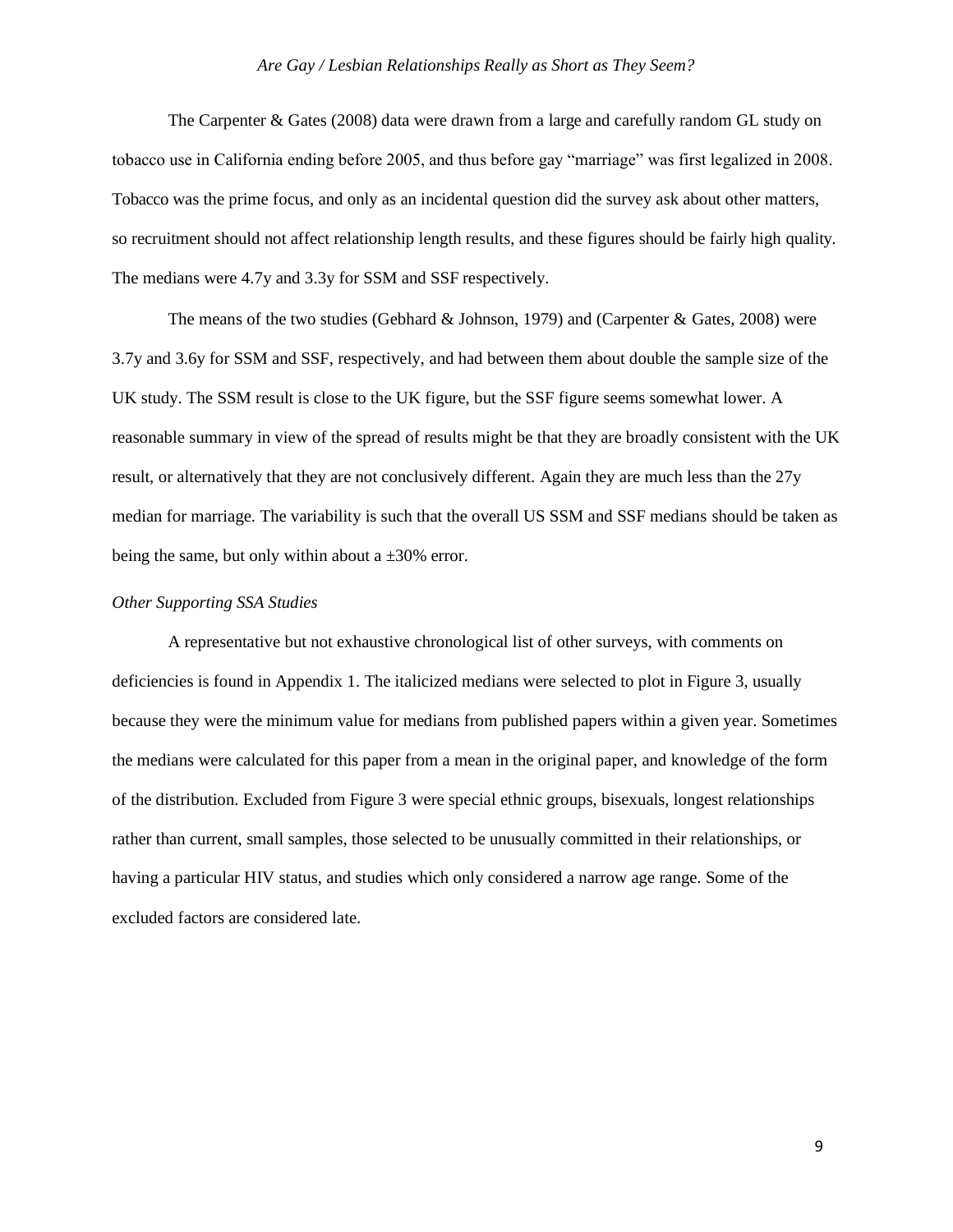The Carpenter & Gates (2008) data were drawn from a large and carefully random GL study on tobacco use in California ending before 2005, and thus before gay "marriage" was first legalized in 2008. Tobacco was the prime focus, and only as an incidental question did the survey ask about other matters, so recruitment should not affect relationship length results, and these figures should be fairly high quality. The medians were 4.7y and 3.3y for SSM and SSF respectively.

The means of the two studies (Gebhard  $&$  Johnson, 1979) and (Carpenter  $&$  Gates, 2008) were 3.7y and 3.6y for SSM and SSF, respectively, and had between them about double the sample size of the UK study. The SSM result is close to the UK figure, but the SSF figure seems somewhat lower. A reasonable summary in view of the spread of results might be that they are broadly consistent with the UK result, or alternatively that they are not conclusively different. Again they are much less than the 27y median for marriage. The variability is such that the overall US SSM and SSF medians should be taken as being the same, but only within about a  $\pm 30\%$  error.

#### *Other Supporting SSA Studies*

A representative but not exhaustive chronological list of other surveys, with comments on deficiencies is found in Appendix 1. The italicized medians were selected to plot in Figure 3, usually because they were the minimum value for medians from published papers within a given year. Sometimes the medians were calculated for this paper from a mean in the original paper, and knowledge of the form of the distribution. Excluded from Figure 3 were special ethnic groups, bisexuals, longest relationships rather than current, small samples, those selected to be unusually committed in their relationships, or having a particular HIV status, and studies which only considered a narrow age range. Some of the excluded factors are considered late.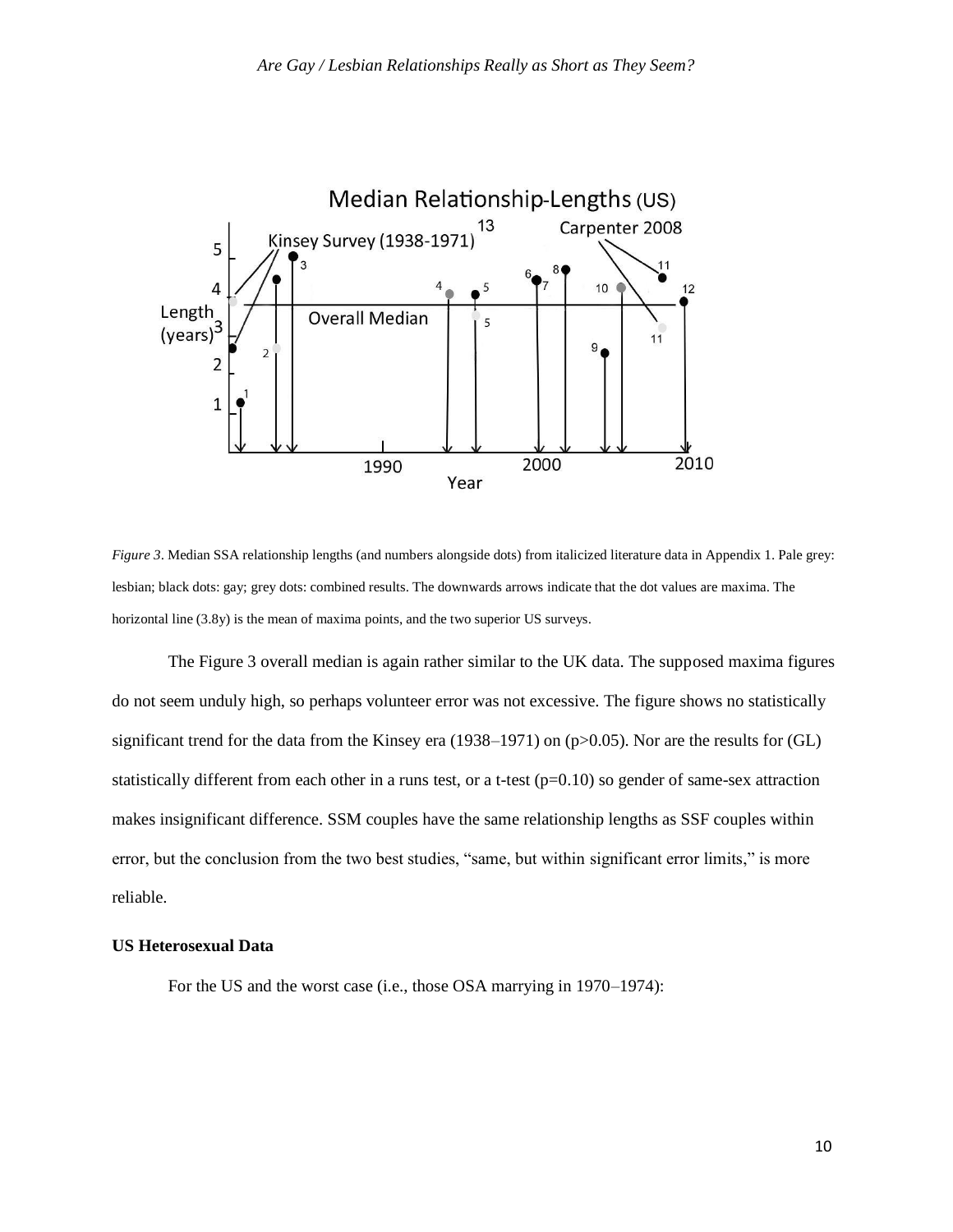

*Figure 3*. Median SSA relationship lengths (and numbers alongside dots) from italicized literature data in Appendix 1. Pale grey: lesbian; black dots: gay; grey dots: combined results. The downwards arrows indicate that the dot values are maxima. The horizontal line  $(3.8y)$  is the mean of maxima points, and the two superior US surveys.

The Figure 3 overall median is again rather similar to the UK data. The supposed maxima figures do not seem unduly high, so perhaps volunteer error was not excessive. The figure shows no statistically significant trend for the data from the Kinsey era (1938–1971) on (p>0.05). Nor are the results for (GL) statistically different from each other in a runs test, or a t-test  $(p=0.10)$  so gender of same-sex attraction makes insignificant difference. SSM couples have the same relationship lengths as SSF couples within error, but the conclusion from the two best studies, "same, but within significant error limits," is more reliable.

## **US Heterosexual Data**

For the US and the worst case (i.e., those OSA marrying in 1970–1974):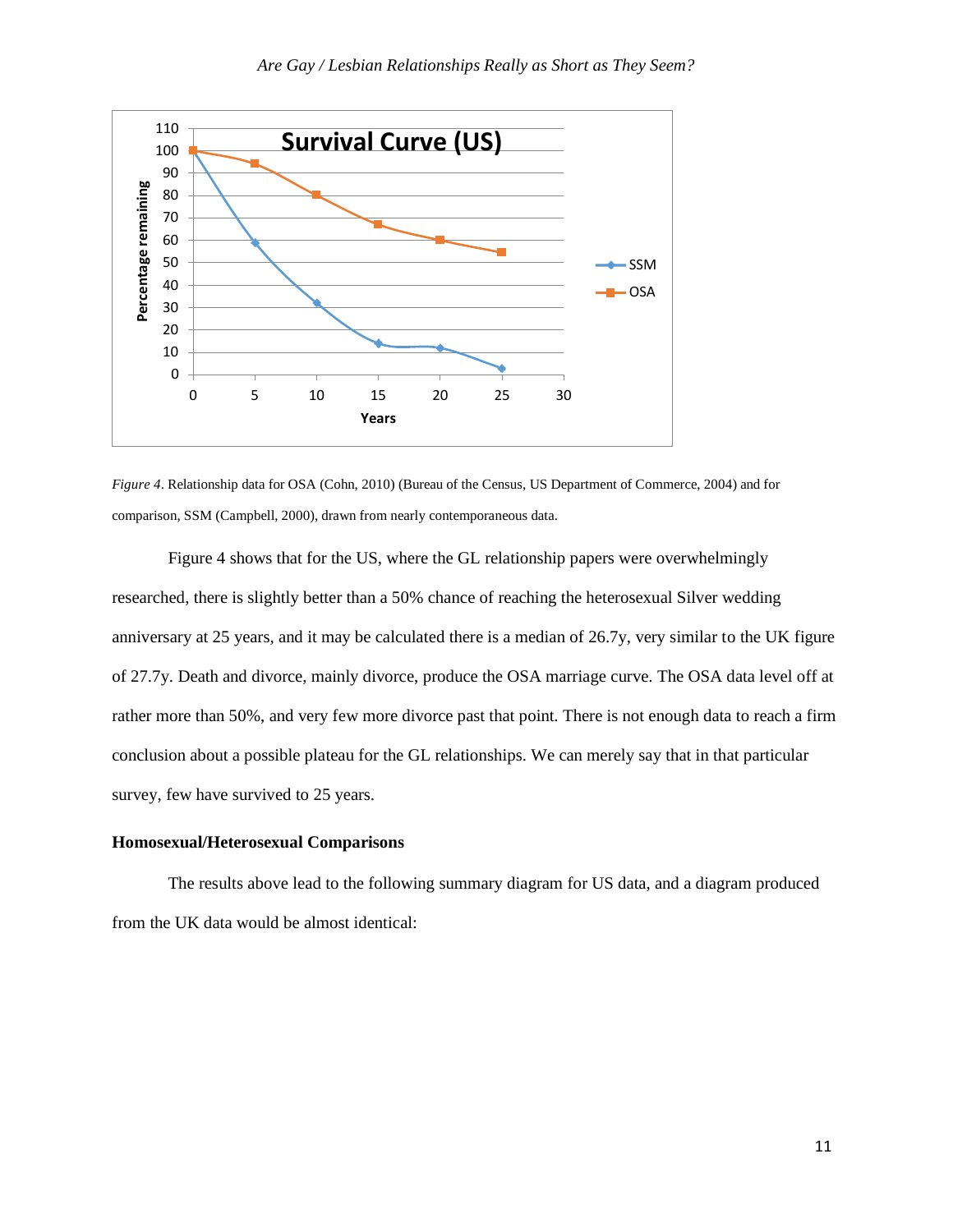

*Figure 4*. Relationship data for OSA (Cohn, 2010) (Bureau of the Census, US Department of Commerce, 2004) and for comparison, SSM (Campbell, 2000), drawn from nearly contemporaneous data.

Figure 4 shows that for the US, where the GL relationship papers were overwhelmingly researched, there is slightly better than a 50% chance of reaching the heterosexual Silver wedding anniversary at 25 years, and it may be calculated there is a median of 26.7y, very similar to the UK figure of 27.7y. Death and divorce, mainly divorce, produce the OSA marriage curve. The OSA data level off at rather more than 50%, and very few more divorce past that point. There is not enough data to reach a firm conclusion about a possible plateau for the GL relationships. We can merely say that in that particular survey, few have survived to 25 years.

#### **Homosexual/Heterosexual Comparisons**

The results above lead to the following summary diagram for US data, and a diagram produced from the UK data would be almost identical: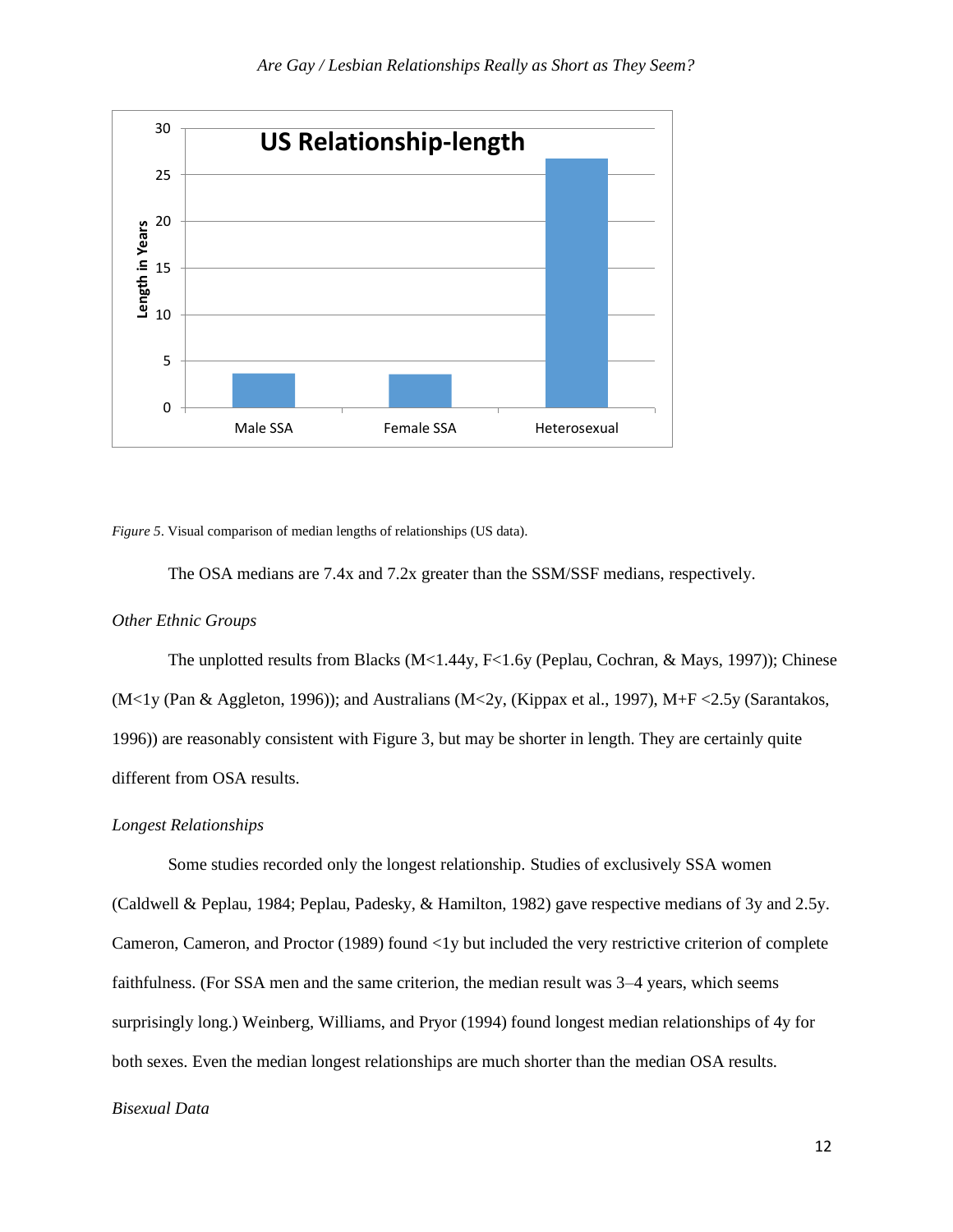

*Figure 5*. Visual comparison of median lengths of relationships (US data).

The OSA medians are 7.4x and 7.2x greater than the SSM/SSF medians, respectively.

#### *Other Ethnic Groups*

The unplotted results from Blacks (M<1.44y, F<1.6y (Peplau, Cochran, & Mays, 1997)); Chinese (M<1y (Pan & Aggleton, 1996)); and Australians (M<2y, (Kippax et al., 1997), M+F <2.5y (Sarantakos, 1996)) are reasonably consistent with Figure 3, but may be shorter in length. They are certainly quite different from OSA results.

#### *Longest Relationships*

Some studies recorded only the longest relationship. Studies of exclusively SSA women (Caldwell & Peplau, 1984; Peplau, Padesky, & Hamilton, 1982) gave respective medians of 3y and 2.5y. Cameron, Cameron, and Proctor (1989) found <1y but included the very restrictive criterion of complete faithfulness. (For SSA men and the same criterion, the median result was 3–4 years, which seems surprisingly long.) Weinberg, Williams, and Pryor (1994) found longest median relationships of 4y for both sexes. Even the median longest relationships are much shorter than the median OSA results.

### *Bisexual Data*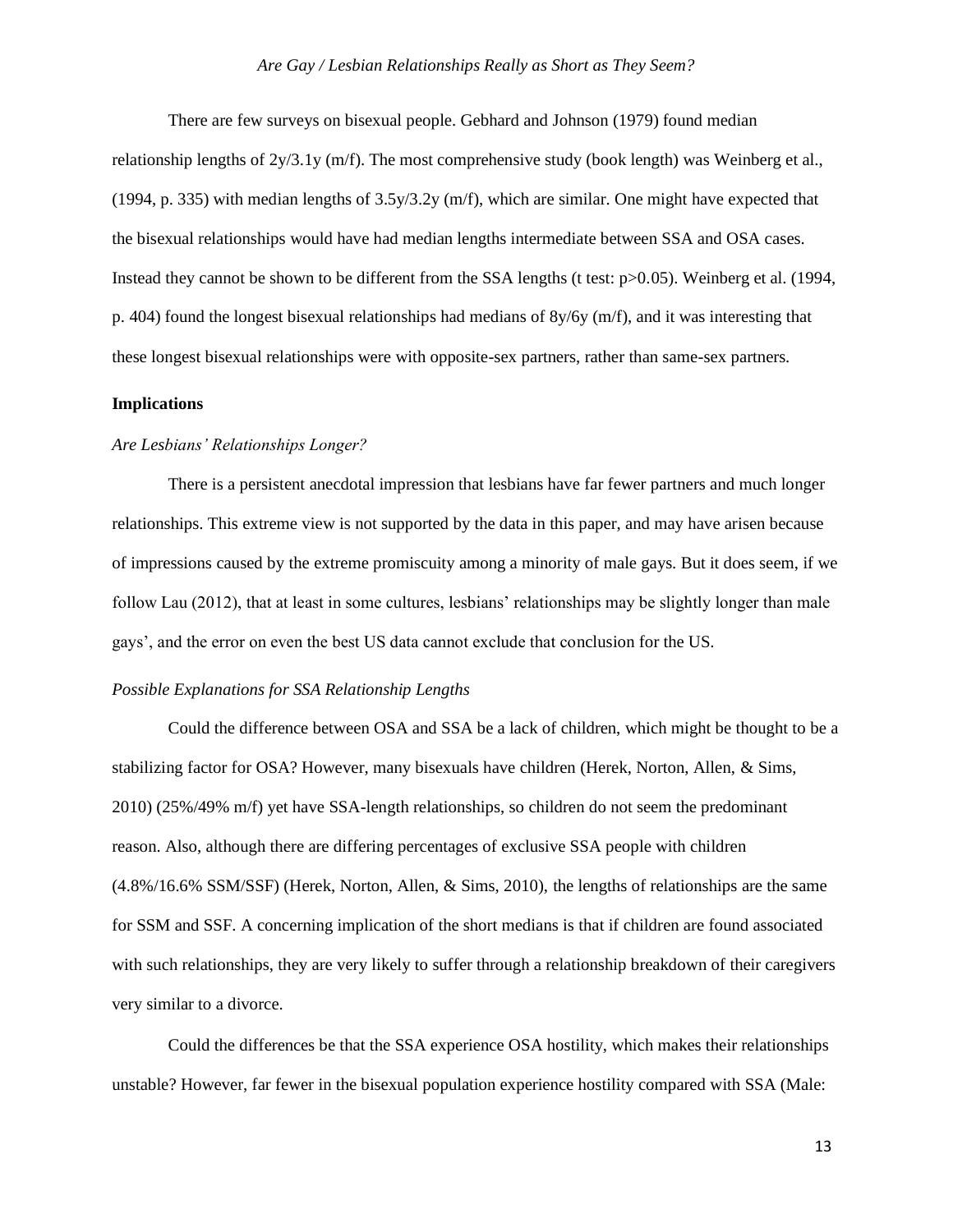There are few surveys on bisexual people. Gebhard and Johnson (1979) found median relationship lengths of  $2y/3.1y$  (m/f). The most comprehensive study (book length) was Weinberg et al., (1994, p. 335) with median lengths of 3.5y/3.2y (m/f), which are similar. One might have expected that the bisexual relationships would have had median lengths intermediate between SSA and OSA cases. Instead they cannot be shown to be different from the SSA lengths (t test:  $p > 0.05$ ). Weinberg et al. (1994, p. 404) found the longest bisexual relationships had medians of 8y/6y (m/f), and it was interesting that these longest bisexual relationships were with opposite-sex partners, rather than same-sex partners.

## **Implications**

## *Are Lesbians' Relationships Longer?*

There is a persistent anecdotal impression that lesbians have far fewer partners and much longer relationships. This extreme view is not supported by the data in this paper, and may have arisen because of impressions caused by the extreme promiscuity among a minority of male gays. But it does seem, if we follow Lau (2012), that at least in some cultures, lesbians' relationships may be slightly longer than male gays', and the error on even the best US data cannot exclude that conclusion for the US.

#### *Possible Explanations for SSA Relationship Lengths*

Could the difference between OSA and SSA be a lack of children, which might be thought to be a stabilizing factor for OSA? However, many bisexuals have children (Herek, Norton, Allen, & Sims, 2010) (25%/49% m/f) yet have SSA-length relationships, so children do not seem the predominant reason. Also, although there are differing percentages of exclusive SSA people with children (4.8%/16.6% SSM/SSF) (Herek, Norton, Allen, & Sims, 2010), the lengths of relationships are the same for SSM and SSF. A concerning implication of the short medians is that if children are found associated with such relationships, they are very likely to suffer through a relationship breakdown of their caregivers very similar to a divorce.

Could the differences be that the SSA experience OSA hostility, which makes their relationships unstable? However, far fewer in the bisexual population experience hostility compared with SSA (Male: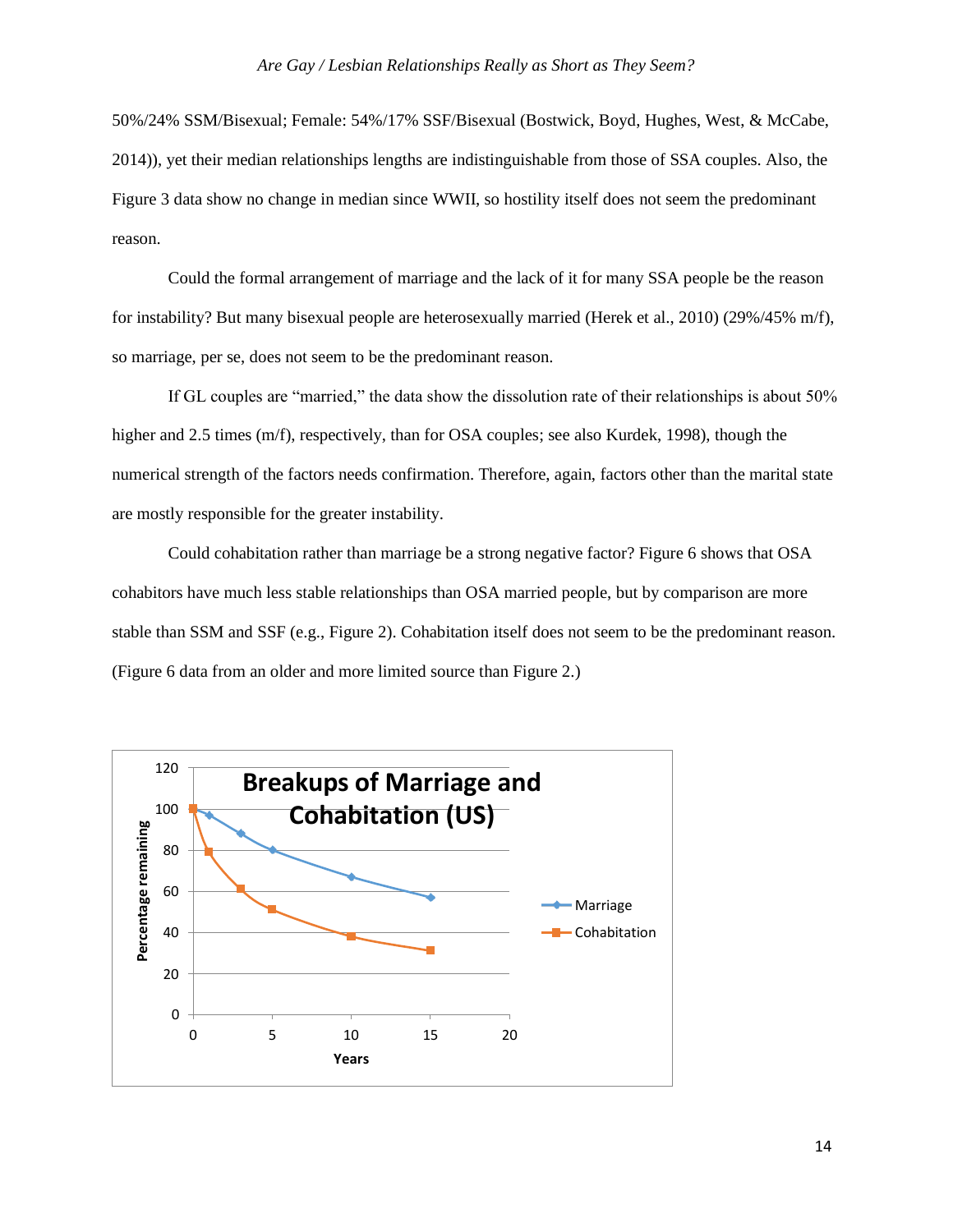50%/24% SSM/Bisexual; Female: 54%/17% SSF/Bisexual (Bostwick, Boyd, Hughes, West, & McCabe, 2014)), yet their median relationships lengths are indistinguishable from those of SSA couples. Also, the Figure 3 data show no change in median since WWII, so hostility itself does not seem the predominant reason.

Could the formal arrangement of marriage and the lack of it for many SSA people be the reason for instability? But many bisexual people are heterosexually married (Herek et al., 2010) (29%/45% m/f), so marriage, per se, does not seem to be the predominant reason.

If GL couples are "married," the data show the dissolution rate of their relationships is about 50% higher and 2.5 times (m/f), respectively, than for OSA couples; see also Kurdek, 1998), though the numerical strength of the factors needs confirmation. Therefore, again, factors other than the marital state are mostly responsible for the greater instability.

Could cohabitation rather than marriage be a strong negative factor? Figure 6 shows that OSA cohabitors have much less stable relationships than OSA married people, but by comparison are more stable than SSM and SSF (e.g., Figure 2). Cohabitation itself does not seem to be the predominant reason. (Figure 6 data from an older and more limited source than Figure 2.)

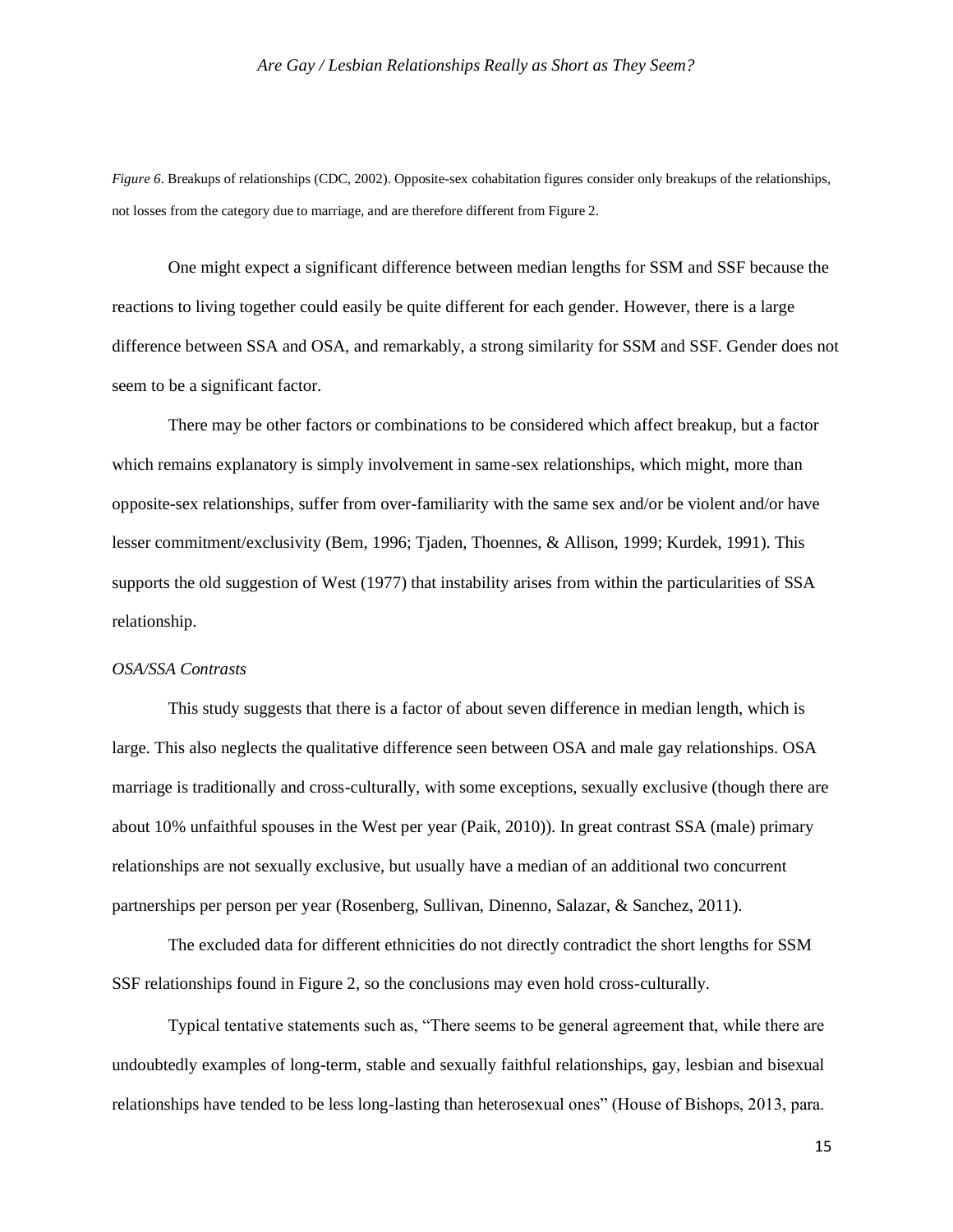*Figure 6*. Breakups of relationships (CDC, 2002). Opposite-sex cohabitation figures consider only breakups of the relationships, not losses from the category due to marriage, and are therefore different from Figure 2.

One might expect a significant difference between median lengths for SSM and SSF because the reactions to living together could easily be quite different for each gender. However, there is a large difference between SSA and OSA, and remarkably, a strong similarity for SSM and SSF. Gender does not seem to be a significant factor.

There may be other factors or combinations to be considered which affect breakup, but a factor which remains explanatory is simply involvement in same-sex relationships, which might, more than opposite-sex relationships, suffer from over-familiarity with the same sex and/or be violent and/or have lesser commitment/exclusivity (Bem, 1996; Tjaden, Thoennes, & Allison, 1999; Kurdek, 1991). This supports the old suggestion of West (1977) that instability arises from within the particularities of SSA relationship.

#### *OSA/SSA Contrasts*

This study suggests that there is a factor of about seven difference in median length, which is large. This also neglects the qualitative difference seen between OSA and male gay relationships. OSA marriage is traditionally and cross-culturally, with some exceptions, sexually exclusive (though there are about 10% unfaithful spouses in the West per year (Paik, 2010)). In great contrast SSA (male) primary relationships are not sexually exclusive, but usually have a median of an additional two concurrent partnerships per person per year (Rosenberg, Sullivan, Dinenno, Salazar, & Sanchez, 2011).

The excluded data for different ethnicities do not directly contradict the short lengths for SSM SSF relationships found in Figure 2, so the conclusions may even hold cross-culturally.

Typical tentative statements such as, "There seems to be general agreement that, while there are undoubtedly examples of long-term, stable and sexually faithful relationships, gay, lesbian and bisexual relationships have tended to be less long-lasting than heterosexual ones" (House of Bishops, 2013, para.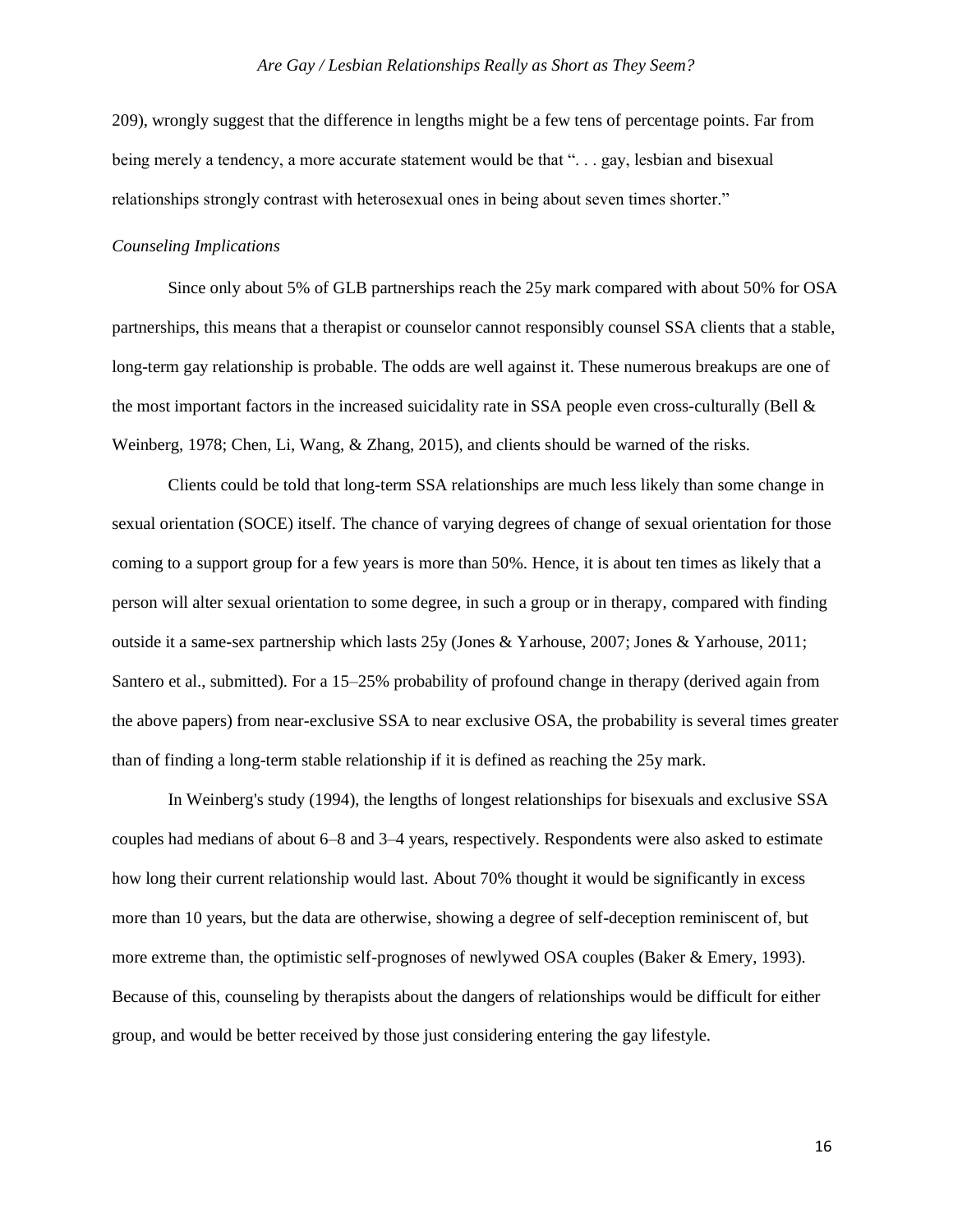209), wrongly suggest that the difference in lengths might be a few tens of percentage points. Far from being merely a tendency, a more accurate statement would be that "... gay, lesbian and bisexual relationships strongly contrast with heterosexual ones in being about seven times shorter."

#### *Counseling Implications*

Since only about 5% of GLB partnerships reach the 25y mark compared with about 50% for OSA partnerships, this means that a therapist or counselor cannot responsibly counsel SSA clients that a stable, long-term gay relationship is probable. The odds are well against it. These numerous breakups are one of the most important factors in the increased suicidality rate in SSA people even cross-culturally (Bell  $\&$ Weinberg, 1978; Chen, Li, Wang, & Zhang, 2015), and clients should be warned of the risks.

Clients could be told that long-term SSA relationships are much less likely than some change in sexual orientation (SOCE) itself. The chance of varying degrees of change of sexual orientation for those coming to a support group for a few years is more than 50%. Hence, it is about ten times as likely that a person will alter sexual orientation to some degree, in such a group or in therapy, compared with finding outside it a same-sex partnership which lasts 25y (Jones & Yarhouse, 2007; Jones & Yarhouse, 2011; Santero et al., submitted). For a 15–25% probability of profound change in therapy (derived again from the above papers) from near-exclusive SSA to near exclusive OSA, the probability is several times greater than of finding a long-term stable relationship if it is defined as reaching the 25y mark.

In Weinberg's study (1994), the lengths of longest relationships for bisexuals and exclusive SSA couples had medians of about 6–8 and 3–4 years, respectively. Respondents were also asked to estimate how long their current relationship would last. About 70% thought it would be significantly in excess more than 10 years, but the data are otherwise, showing a degree of self-deception reminiscent of, but more extreme than, the optimistic self-prognoses of newlywed OSA couples (Baker & Emery, 1993). Because of this, counseling by therapists about the dangers of relationships would be difficult for either group, and would be better received by those just considering entering the gay lifestyle.

16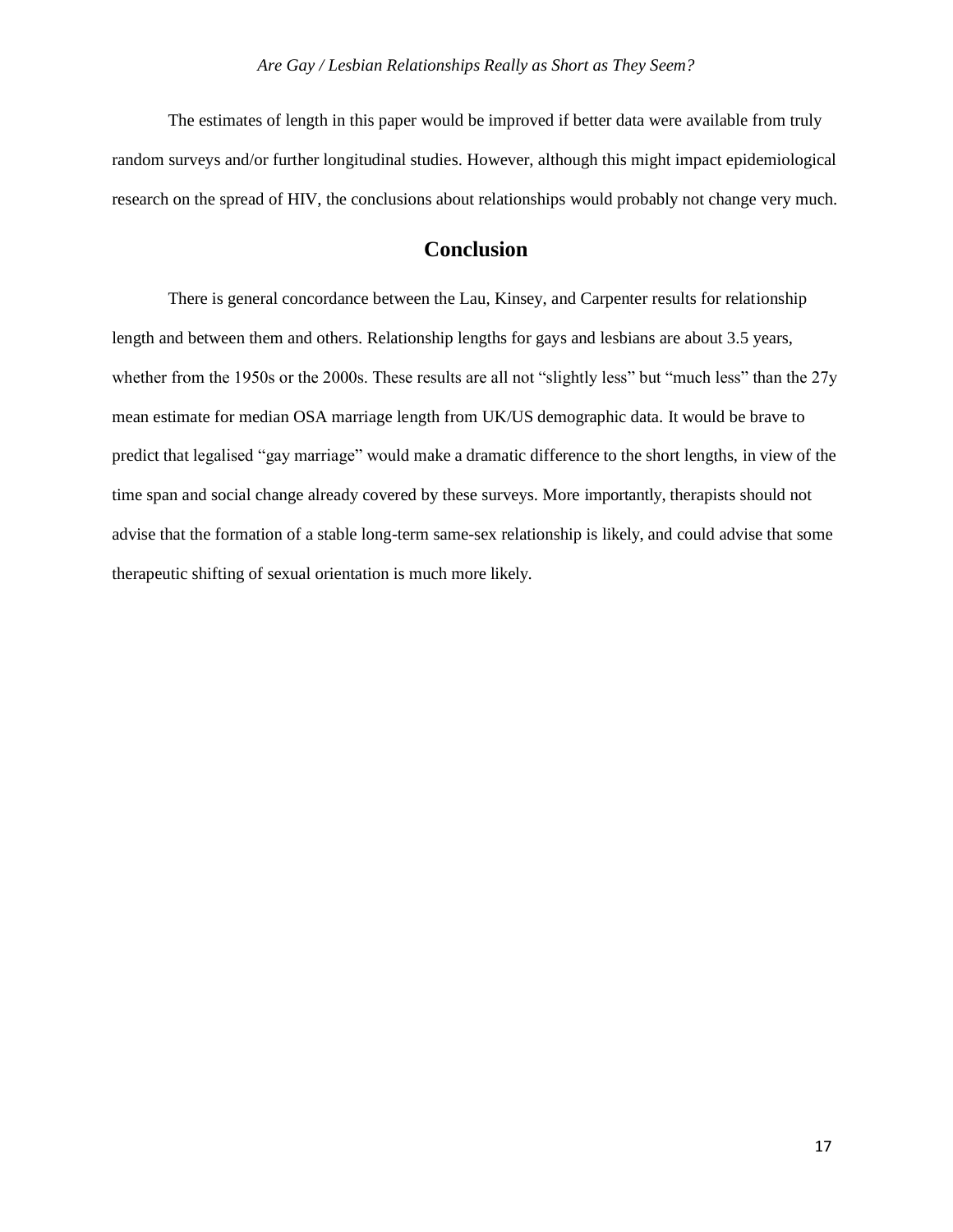The estimates of length in this paper would be improved if better data were available from truly random surveys and/or further longitudinal studies. However, although this might impact epidemiological research on the spread of HIV, the conclusions about relationships would probably not change very much.

# **Conclusion**

There is general concordance between the Lau, Kinsey, and Carpenter results for relationship length and between them and others. Relationship lengths for gays and lesbians are about 3.5 years, whether from the 1950s or the 2000s. These results are all not "slightly less" but "much less" than the 27y mean estimate for median OSA marriage length from UK/US demographic data. It would be brave to predict that legalised "gay marriage" would make a dramatic difference to the short lengths, in view of the time span and social change already covered by these surveys. More importantly, therapists should not advise that the formation of a stable long-term same-sex relationship is likely, and could advise that some therapeutic shifting of sexual orientation is much more likely.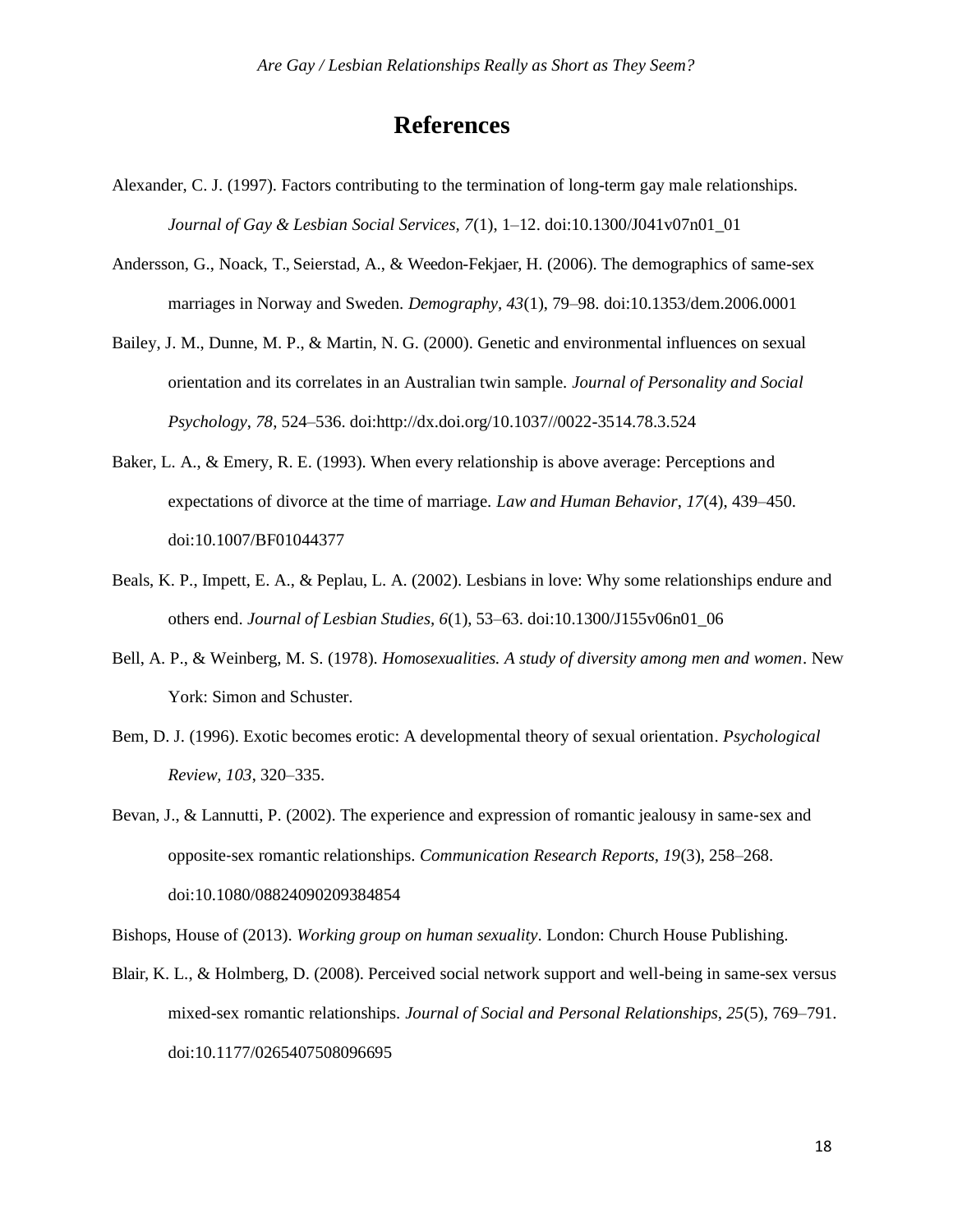# **References**

- Alexander, C. J. (1997). Factors contributing to the termination of long-term gay male relationships. *Journal of Gay & Lesbian Social Services, 7*(1), 1–12. doi:10.1300/J041v07n01\_01
- Andersson, G., Noack, T., Seierstad, A., & Weedon-Fekjaer, H. (2006). The demographics of same-sex marriages in Norway and Sweden. *Demography, 43*(1), 79–98. doi:10.1353/dem.2006.0001
- Bailey, J. M., Dunne, M. P., & Martin, N. G. (2000). Genetic and environmental influences on sexual orientation and its correlates in an Australian twin sample. *Journal of Personality and Social Psychology*, *78*, 524–536. doi[:http://dx.doi.org/10.1037//0022-3514.78.3.524](http://dx.doi.org/10.1037/0022-3514.78.3.524)
- Baker, L. A., & Emery, R. E. (1993). When every relationship is above average: Perceptions and expectations of divorce at the time of marriage. *Law and Human Behavior*, *17*(4), 439–450. doi:10.1007/BF01044377
- Beals, K. P., Impett, E. A., & Peplau, L. A. (2002). Lesbians in love: Why some relationships endure and others end. *Journal of Lesbian Studies, 6*(1), 53–63. doi:10.1300/J155v06n01\_06
- Bell, A. P., & Weinberg, M. S. (1978). *Homosexualities. A study of diversity among men and women*. New York: Simon and Schuster.
- Bem, D. J. (1996). Exotic becomes erotic: A developmental theory of sexual orientation. *Psychological Review, 103*, 320–335.
- Bevan, J., & Lannutti, P. (2002). The experience and expression of romantic jealousy in same-sex and opposite-sex romantic relationships. *Communication Research Reports, 19*(3), 258–268. doi:10.1080/08824090209384854

Bishops, House of (2013). *Working group on human sexuality*. London: Church House Publishing.

Blair, K. L., & Holmberg, D. (2008). Perceived social network support and well-being in same-sex versus mixed-sex romantic relationships. *Journal of Social and Personal Relationships, 25*(5), 769–791. doi:10.1177/0265407508096695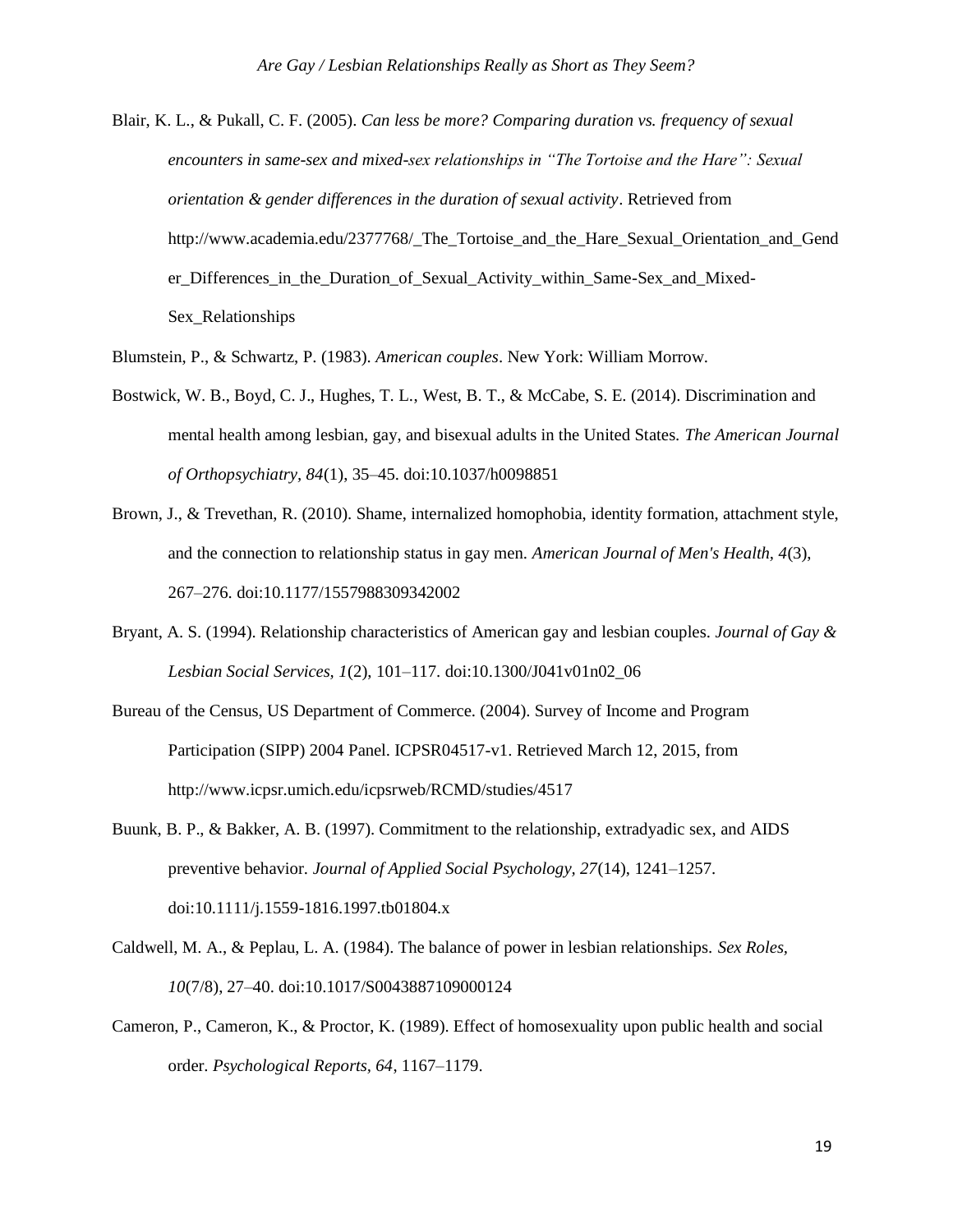Blair, K. L., & Pukall, C. F. (2005). *Can less be more? Comparing duration vs. frequency of sexual encounters in same-sex and mixed-sex relationships in "The Tortoise and the Hare": Sexual orientation & gender differences in the duration of sexual activity*. Retrieved from [http://www.academia.edu/2377768/\\_The\\_Tortoise\\_and\\_the\\_Hare\\_Sexual\\_Orientation\\_and\\_Gend](http://www.academia.edu/2377768/_The_Tortoise_and_the_Hare_Sexual_Orientation_and_Gend) er\_Differences\_in\_the\_Duration\_of\_Sexual\_Activity\_within\_Same-Sex\_and\_Mixed-Sex\_Relationships

Blumstein, P., & Schwartz, P. (1983). *American couples*. New York: William Morrow.

- Bostwick, W. B., Boyd, C. J., Hughes, T. L., West, B. T., & McCabe, S. E. (2014). Discrimination and mental health among lesbian, gay, and bisexual adults in the United States. *The American Journal of Orthopsychiatry, 84*(1), 35–45. doi:10.1037/h0098851
- Brown, J., & Trevethan, R. (2010). Shame, internalized homophobia, identity formation, attachment style, and the connection to relationship status in gay men. *American Journal of Men's Health, 4*(3), 267–276. doi:10.1177/1557988309342002
- Bryant, A. S. (1994). Relationship characteristics of American gay and lesbian couples. *Journal of Gay & Lesbian Social Services, 1*(2), 101–117. doi:10.1300/J041v01n02\_06
- Bureau of the Census, US Department of Commerce. (2004). Survey of Income and Program Participation (SIPP) 2004 Panel. ICPSR04517-v1. Retrieved March 12, 2015, from <http://www.icpsr.umich.edu/icpsrweb/RCMD/studies/4517>
- Buunk, B. P., & Bakker, A. B. (1997). Commitment to the relationship, extradyadic sex, and AIDS preventive behavior. *Journal of Applied Social Psychology, 27*(14), 1241–1257. doi:10.1111/j.1559-1816.1997.tb01804.x
- Caldwell, M. A., & Peplau, L. A. (1984). The balance of power in lesbian relationships. *Sex Roles, 10*(7/8), 27–40. doi:10.1017/S0043887109000124
- Cameron, P., Cameron, K., & Proctor, K. (1989). Effect of homosexuality upon public health and social order. *Psychological Reports, 64*, 1167–1179.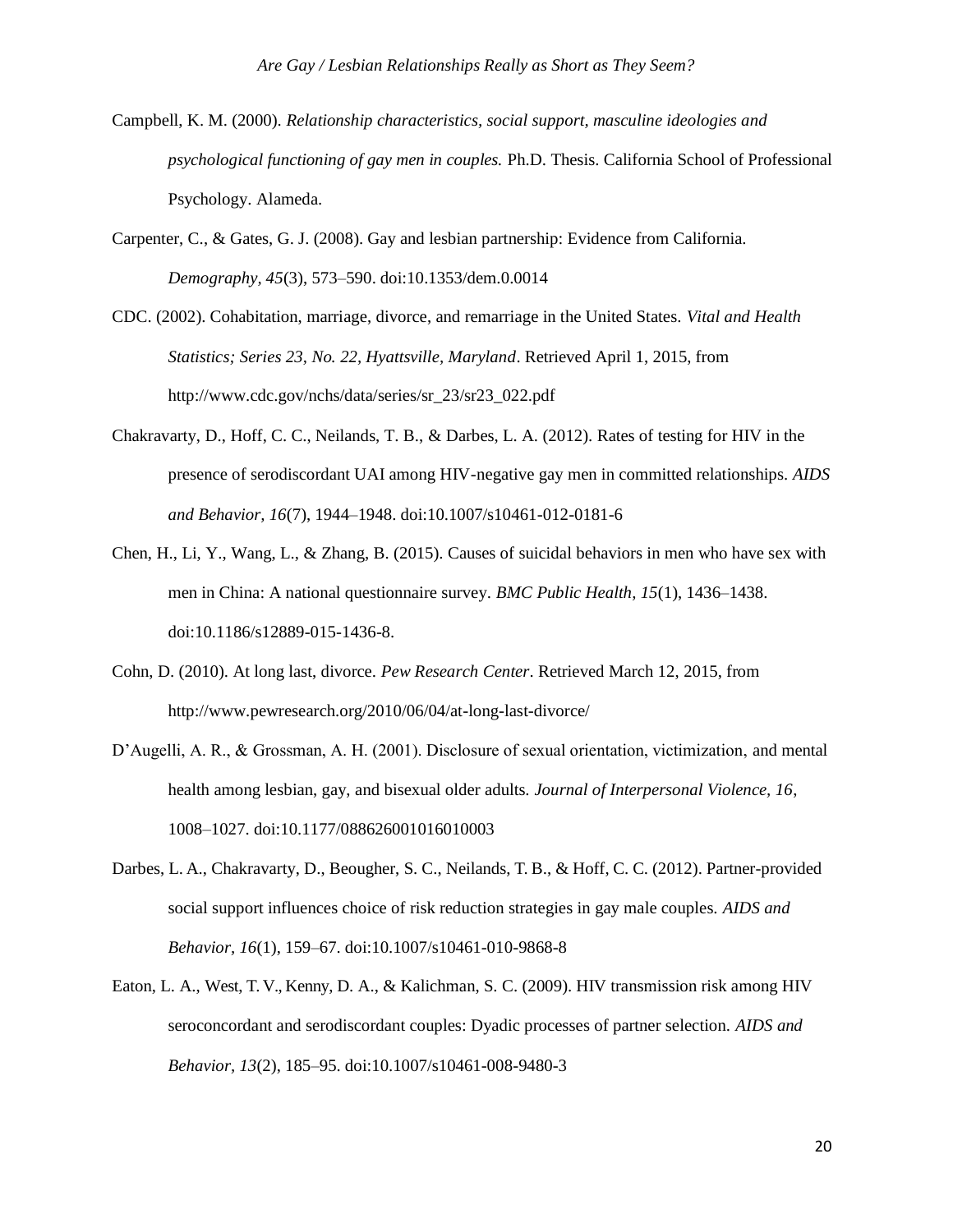- Campbell, K. M. (2000). *Relationship characteristics, social support, masculine ideologies and psychological functioning of gay men in couples.* Ph.D. Thesis. California School of Professional Psychology. Alameda.
- Carpenter, C., & Gates, G. J. (2008). Gay and lesbian partnership: Evidence from California. *Demography, 45*(3), 573–590. doi:10.1353/dem.0.0014
- CDC. (2002). Cohabitation, marriage, divorce, and remarriage in the United States. *Vital and Health Statistics; Series 23, No. 22, Hyattsville, Maryland*. Retrieved April 1, 2015, from [http://www.cdc.gov/nchs/data/series/sr\\_23/sr23\\_022.pdf](http://www.cdc.gov/nchs/data/series/sr_23/sr23_022.pdf)
- Chakravarty, D., Hoff, C. C., Neilands, T. B., & Darbes, L. A. (2012). Rates of testing for HIV in the presence of serodiscordant UAI among HIV-negative gay men in committed relationships. *AIDS and Behavior, 16*(7), 1944–1948. doi:10.1007/s10461-012-0181-6
- Chen, H., Li, Y., Wang, L., & Zhang, B. (2015). Causes of suicidal behaviors in men who have sex with men in China: A national questionnaire survey. *BMC Public Health, 15*(1), 1436–1438. doi:10.1186/s12889-015-1436-8.
- Cohn, D. (2010). At long last, divorce. *Pew Research Center*. Retrieved March 12, 2015, from <http://www.pewresearch.org/2010/06/04/at-long-last-divorce/>
- D'Augelli, A. R., & Grossman, A. H. (2001). Disclosure of sexual orientation, victimization, and mental health among lesbian, gay, and bisexual older adults. *Journal of Interpersonal Violence, 16*, 1008–1027. doi:10.1177/088626001016010003
- Darbes, L. A., Chakravarty, D., Beougher, S. C., Neilands, T. B., & Hoff, C. C. (2012). Partner-provided social support influences choice of risk reduction strategies in gay male couples. *AIDS and Behavior, 16*(1), 159–67. doi:10.1007/s10461-010-9868-8
- Eaton, L. A., West, T. V., Kenny, D. A., & Kalichman, S. C. (2009). HIV transmission risk among HIV seroconcordant and serodiscordant couples: Dyadic processes of partner selection. *AIDS and Behavior, 13*(2), 185–95. doi:10.1007/s10461-008-9480-3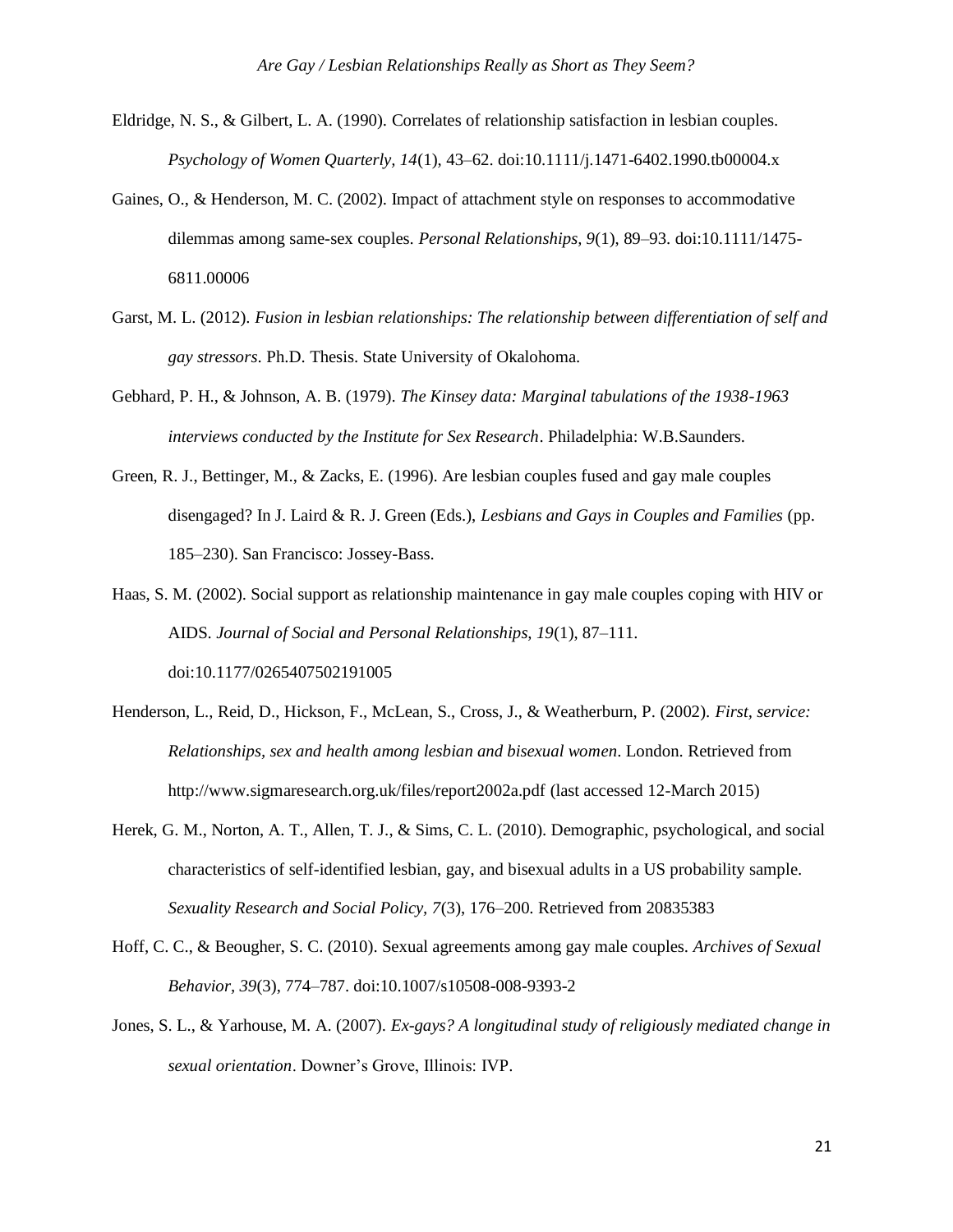- Eldridge, N. S., & Gilbert, L. A. (1990). Correlates of relationship satisfaction in lesbian couples. *Psychology of Women Quarterly, 14*(1), 43–62. doi:10.1111/j.1471-6402.1990.tb00004.x
- Gaines, O., & Henderson, M. C. (2002). Impact of attachment style on responses to accommodative dilemmas among same-sex couples. *Personal Relationships, 9*(1), 89–93. doi:10.1111/1475- 6811.00006
- Garst, M. L. (2012). *Fusion in lesbian relationships: The relationship between differentiation of self and gay stressors*. Ph.D. Thesis. State University of Okalohoma.
- Gebhard, P. H., & Johnson, A. B. (1979). *The Kinsey data: Marginal tabulations of the 1938-1963 interviews conducted by the Institute for Sex Research*. Philadelphia: W.B.Saunders.
- Green, R. J., Bettinger, M., & Zacks, E. (1996). Are lesbian couples fused and gay male couples disengaged? In J. Laird & R. J. Green (Eds.), *Lesbians and Gays in Couples and Families* (pp. 185–230). San Francisco: Jossey-Bass.
- Haas, S. M. (2002). Social support as relationship maintenance in gay male couples coping with HIV or AIDS. *Journal of Social and Personal Relationships, 19*(1), 87–111. doi:10.1177/0265407502191005
- Henderson, L., Reid, D., Hickson, F., McLean, S., Cross, J., & Weatherburn, P. (2002). *First, service: Relationships, sex and health among lesbian and bisexual women*. London. Retrieved from [http://www.sigmaresearch.org.uk/files/report2002a.pdf \(](http://www.sigmaresearch.org.uk/files/report2002a.pdf)last accessed 12-March 2015)
- Herek, G. M., Norton, A. T., Allen, T. J., & Sims, C. L. (2010). Demographic, psychological, and social characteristics of self-identified lesbian, gay, and bisexual adults in a US probability sample. *Sexuality Research and Social Policy, 7*(3), 176–200. Retrieved from 20835383
- Hoff, C. C., & Beougher, S. C. (2010). Sexual agreements among gay male couples. *Archives of Sexual Behavior, 39*(3), 774–787. doi:10.1007/s10508-008-9393-2
- Jones, S. L., & Yarhouse, M. A. (2007). *Ex-gays? A longitudinal study of religiously mediated change in sexual orientation*. Downer's Grove, Illinois: IVP.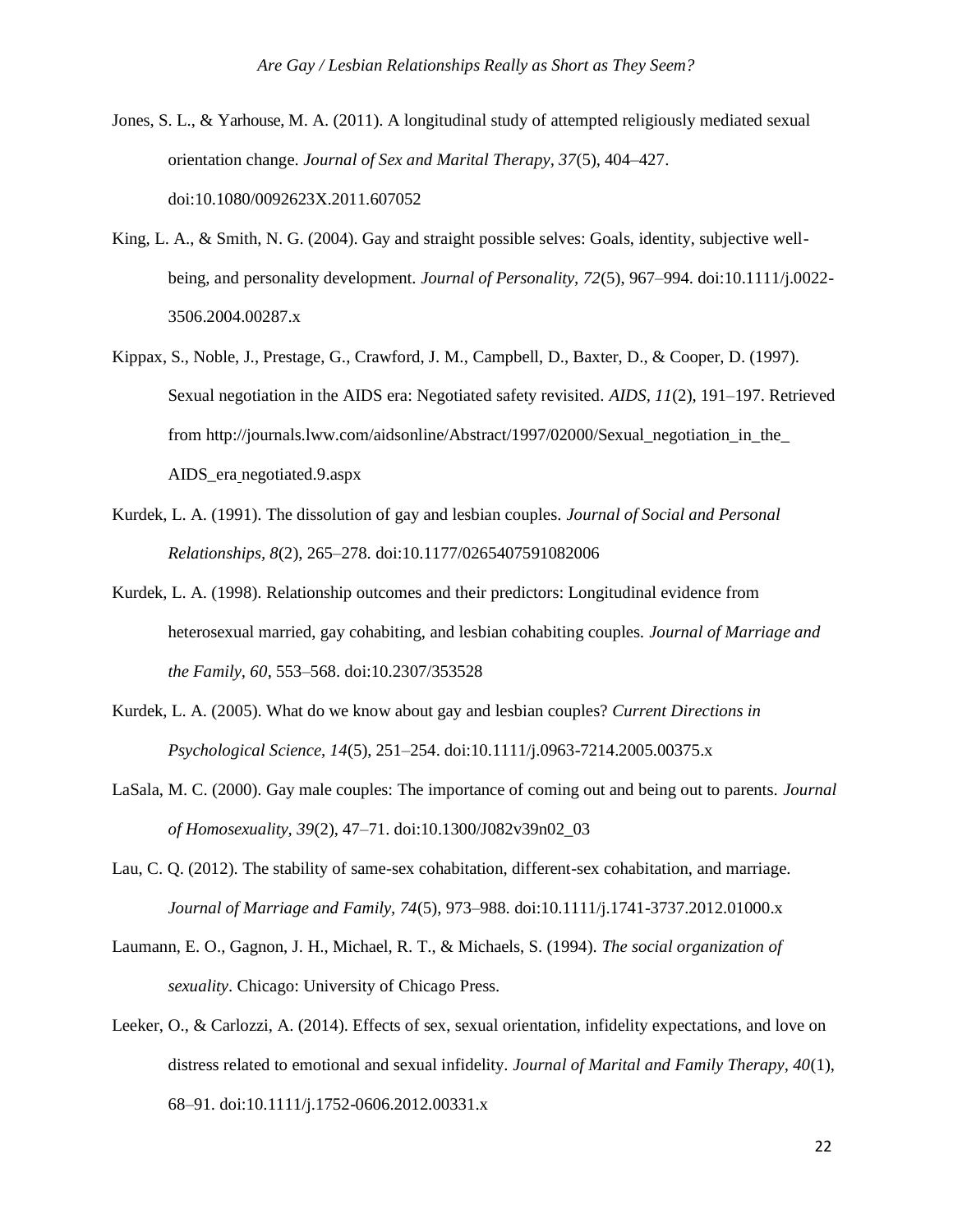- Jones, S. L., & Yarhouse, M. A. (2011). A longitudinal study of attempted religiously mediated sexual orientation change. *Journal of Sex and Marital Therapy, 37*(5), 404–427. doi:10.1080/0092623X.2011.607052
- King, L. A., & Smith, N. G. (2004). Gay and straight possible selves: Goals, identity, subjective wellbeing, and personality development. *Journal of Personality, 72*(5), 967–994. doi:10.1111/j.0022- 3506.2004.00287.x
- Kippax, S., Noble, J., Prestage, G., Crawford, J. M., Campbell, D., Baxter, D., & Cooper, D. (1997). Sexual negotiation in the AIDS era: Negotiated safety revisited. *AIDS, 11*(2), 191–197. Retrieved from http://journals.lww.com/aidsonline/Abstract/1997/02000/Sexual\_negotiation\_in\_the AIDS\_era negotiated.9.aspx
- Kurdek, L. A. (1991). The dissolution of gay and lesbian couples. *Journal of Social and Personal Relationships, 8*(2), 265–278. doi:10.1177/0265407591082006
- Kurdek, L. A. (1998). Relationship outcomes and their predictors: Longitudinal evidence from heterosexual married, gay cohabiting, and lesbian cohabiting couples. *Journal of Marriage and the Family, 60*, 553–568. doi:10.2307/353528
- Kurdek, L. A. (2005). What do we know about gay and lesbian couples? *Current Directions in Psychological Science, 14*(5), 251–254. doi:10.1111/j.0963-7214.2005.00375.x
- LaSala, M. C. (2000). Gay male couples: The importance of coming out and being out to parents. *Journal of Homosexuality, 39*(2), 47–71. doi:10.1300/J082v39n02\_03
- Lau, C. Q. (2012). The stability of same-sex cohabitation, different-sex cohabitation, and marriage. *Journal of Marriage and Family, 74*(5), 973–988. doi:10.1111/j.1741-3737.2012.01000.x
- Laumann, E. O., Gagnon, J. H., Michael, R. T., & Michaels, S. (1994). *The social organization of sexuality*. Chicago: University of Chicago Press.
- Leeker, O., & Carlozzi, A. (2014). Effects of sex, sexual orientation, infidelity expectations, and love on distress related to emotional and sexual infidelity. *Journal of Marital and Family Therapy, 40*(1), 68–91. doi:10.1111/j.1752-0606.2012.00331.x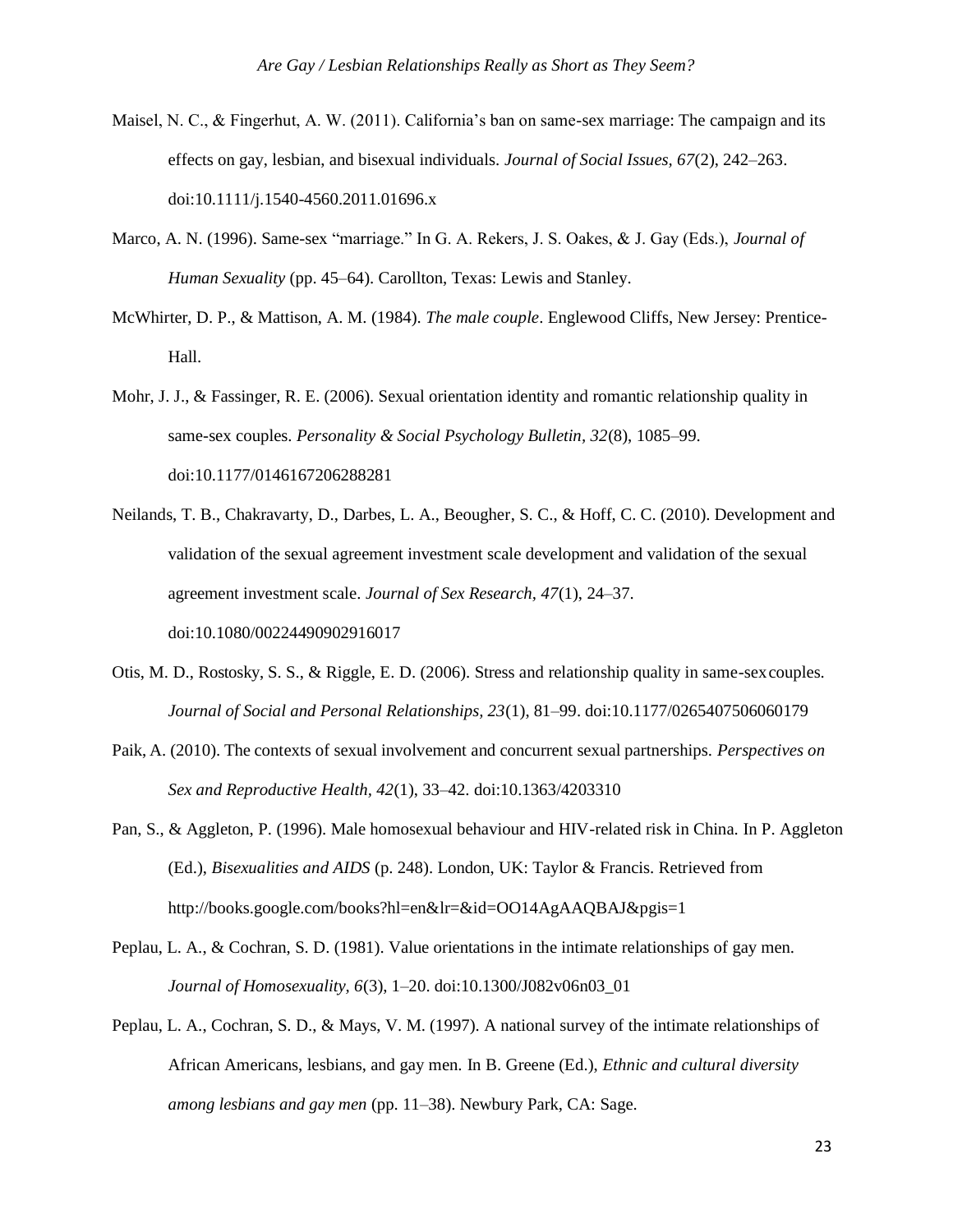- Maisel, N. C., & Fingerhut, A. W. (2011). California's ban on same-sex marriage: The campaign and its effects on gay, lesbian, and bisexual individuals. *Journal of Social Issues, 67*(2), 242–263. doi:10.1111/j.1540-4560.2011.01696.x
- Marco, A. N. (1996). Same-sex "marriage." In G. A. Rekers, J. S. Oakes, & J. Gay (Eds.), *Journal of Human Sexuality* (pp. 45–64). Carollton, Texas: Lewis and Stanley.
- McWhirter, D. P., & Mattison, A. M. (1984). *The male couple*. Englewood Cliffs, New Jersey: Prentice-Hall.
- Mohr, J. J., & Fassinger, R. E. (2006). Sexual orientation identity and romantic relationship quality in same-sex couples. *Personality & Social Psychology Bulletin, 32*(8), 1085–99. doi:10.1177/0146167206288281
- Neilands, T. B., Chakravarty, D., Darbes, L. A., Beougher, S. C., & Hoff, C. C. (2010). Development and validation of the sexual agreement investment scale development and validation of the sexual agreement investment scale. *Journal of Sex Research, 47*(1), 24–37. doi:10.1080/00224490902916017
- Otis, M. D., Rostosky, S. S., & Riggle, E. D. (2006). Stress and relationship quality in same-sexcouples. *Journal of Social and Personal Relationships, 23*(1), 81–99. doi:10.1177/0265407506060179
- Paik, A. (2010). The contexts of sexual involvement and concurrent sexual partnerships. *Perspectives on Sex and Reproductive Health, 42*(1), 33–42. doi:10.1363/4203310
- Pan, S., & Aggleton, P. (1996). Male homosexual behaviour and HIV-related risk in China. In P. Aggleton (Ed.), *Bisexualities and AIDS* (p. 248). London, UK: Taylor & Francis. Retrieved from [http://books.google.com/books?hl=en&lr=&id=OO14AgAAQBAJ&pgis=1](http://books.google.com/books?hl=en&lr&id=OO14AgAAQBAJ&pgis=1)
- Peplau, L. A., & Cochran, S. D. (1981). Value orientations in the intimate relationships of gay men. *Journal of Homosexuality, 6*(3), 1–20. doi:10.1300/J082v06n03\_01
- Peplau, L. A., Cochran, S. D., & Mays, V. M. (1997). A national survey of the intimate relationships of African Americans, lesbians, and gay men. In B. Greene (Ed.), *Ethnic and cultural diversity among lesbians and gay men* (pp. 11–38). Newbury Park, CA: Sage.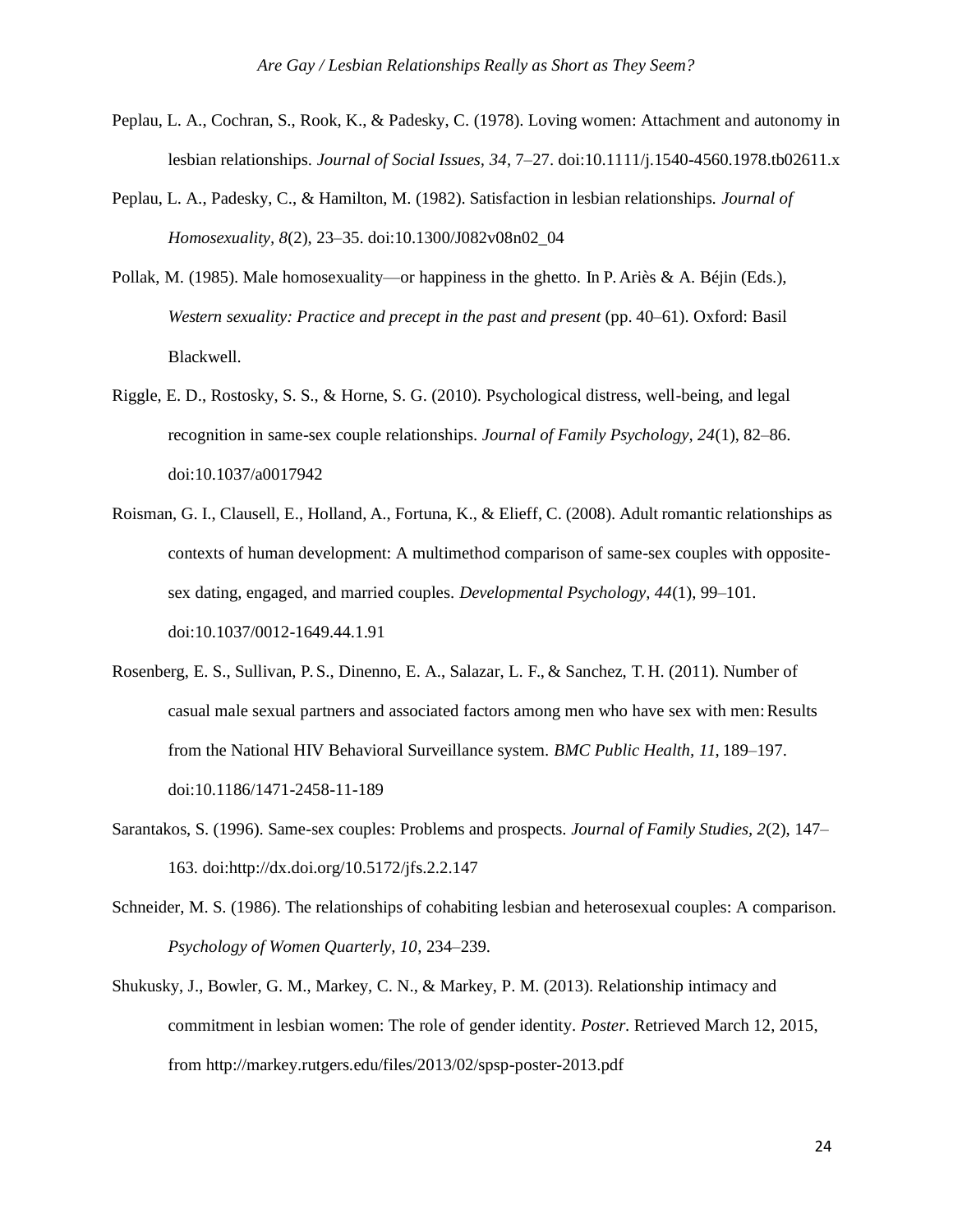- Peplau, L. A., Cochran, S., Rook, K., & Padesky, C. (1978). Loving women: Attachment and autonomy in lesbian relationships. *Journal of Social Issues, 34*, 7–27. doi:10.1111/j.1540-4560.1978.tb02611.x
- Peplau, L. A., Padesky, C., & Hamilton, M. (1982). Satisfaction in lesbian relationships. *Journal of Homosexuality, 8*(2), 23–35. doi:10.1300/J082v08n02\_04
- Pollak, M. (1985). Male homosexuality—or happiness in the ghetto. In P. Ariès & A. Béjin (Eds.), *Western sexuality: Practice and precept in the past and present* (pp. 40–61). Oxford: Basil Blackwell.
- Riggle, E. D., Rostosky, S. S., & Horne, S. G. (2010). Psychological distress, well-being, and legal recognition in same-sex couple relationships. *Journal of Family Psychology, 24*(1), 82–86. doi:10.1037/a0017942
- Roisman, G. I., Clausell, E., Holland, A., Fortuna, K., & Elieff, C. (2008). Adult romantic relationships as contexts of human development: A multimethod comparison of same-sex couples with oppositesex dating, engaged, and married couples. *Developmental Psychology, 44*(1), 99–101. doi:10.1037/0012-1649.44.1.91
- Rosenberg, E. S., Sullivan, P. S., Dinenno, E. A., Salazar, L. F., & Sanchez, T. H. (2011). Number of casual male sexual partners and associated factors among men who have sex with men: Results from the National HIV Behavioral Surveillance system. *BMC Public Health, 11*, 189–197. doi:10.1186/1471-2458-11-189
- Sarantakos, S. (1996). Same-sex couples: Problems and prospects. *Journal of Family Studies, 2*(2), 147– 163. doi[:http://dx.doi.org/10.5172/jfs.2.2.147](http://dx.doi.org/10.5172/jfs.2.2.147)
- Schneider, M. S. (1986). The relationships of cohabiting lesbian and heterosexual couples: A comparison. *Psychology of Women Quarterly, 10*, 234–239.
- Shukusky, J., Bowler, G. M., Markey, C. N., & Markey, P. M. (2013). Relationship intimacy and commitment in lesbian women: The role of gender identity. *Poster*. Retrieved March 12, 2015, from<http://markey.rutgers.edu/files/2013/02/spsp-poster-2013.pdf>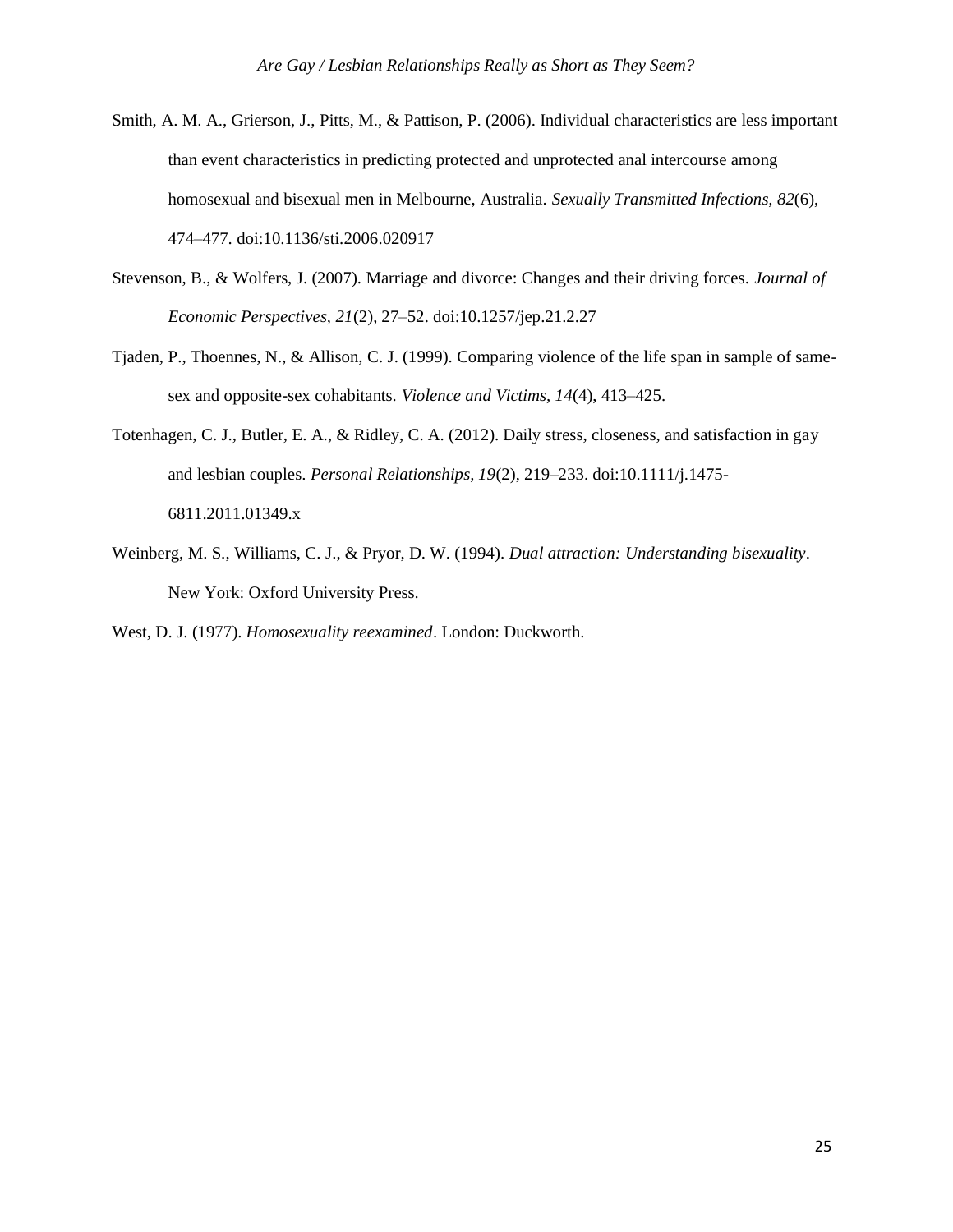- Smith, A. M. A., Grierson, J., Pitts, M., & Pattison, P. (2006). Individual characteristics are less important than event characteristics in predicting protected and unprotected anal intercourse among homosexual and bisexual men in Melbourne, Australia. *Sexually Transmitted Infections, 82*(6), 474–477. doi:10.1136/sti.2006.020917
- Stevenson, B., & Wolfers, J. (2007). Marriage and divorce: Changes and their driving forces. *Journal of Economic Perspectives, 21*(2), 27–52. doi:10.1257/jep.21.2.27
- Tjaden, P., Thoennes, N., & Allison, C. J. (1999). Comparing violence of the life span in sample of samesex and opposite-sex cohabitants. *Violence and Victims, 14*(4), 413–425.
- Totenhagen, C. J., Butler, E. A., & Ridley, C. A. (2012). Daily stress, closeness, and satisfaction in gay and lesbian couples. *Personal Relationships, 19*(2), 219–233. doi:10.1111/j.1475- 6811.2011.01349.x
- Weinberg, M. S., Williams, C. J., & Pryor, D. W. (1994). *Dual attraction: Understanding bisexuality*. New York: Oxford University Press.

West, D. J. (1977). *Homosexuality reexamined*. London: Duckworth.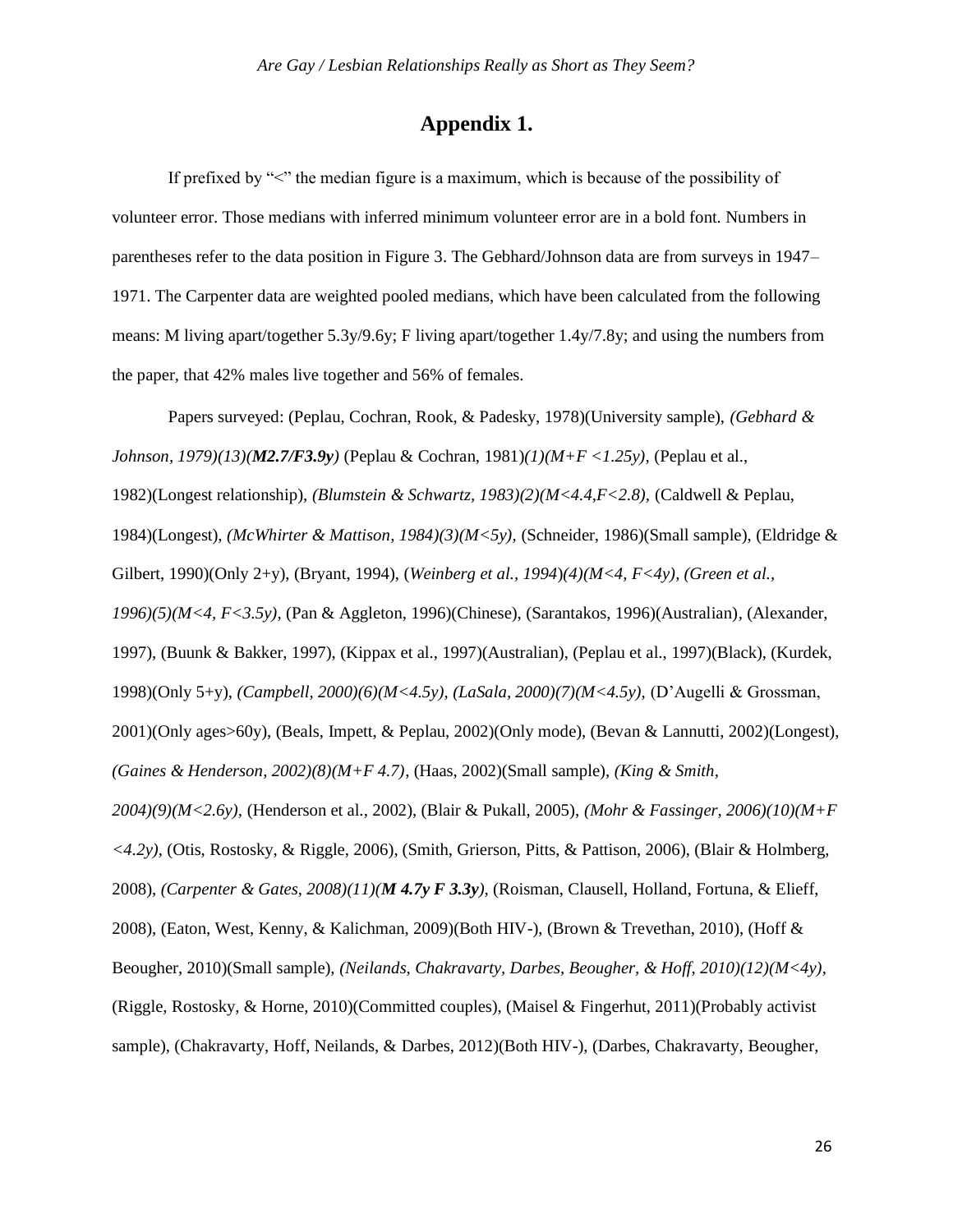# **Appendix 1.**

If prefixed by " $\leq$ " the median figure is a maximum, which is because of the possibility of volunteer error. Those medians with inferred minimum volunteer error are in a bold font. Numbers in parentheses refer to the data position in Figure 3. The Gebhard/Johnson data are from surveys in 1947– 1971. The Carpenter data are weighted pooled medians, which have been calculated from the following means: M living apart/together 5.3y/9.6y; F living apart/together 1.4y/7.8y; and using the numbers from the paper, that 42% males live together and 56% of females.

Papers surveyed: (Peplau, Cochran, Rook, & Padesky, 1978)(University sample), *(Gebhard & Johnson, 1979)(13)(M2.7/F3.9y)* (Peplau & Cochran, 1981)*(1)(M+F <1.25y),* (Peplau et al., 1982)(Longest relationship), *(Blumstein & Schwartz, 1983)(2)(M<4.4,F<2.8),* (Caldwell & Peplau, 1984)(Longest), *(McWhirter & Mattison, 1984)(3)(M<5y),* (Schneider, 1986)(Small sample), (Eldridge & Gilbert, 1990)(Only 2+y), (Bryant, 1994), (*Weinberg et al., 1994*)*(4)(M<4, F<4y), (Green et al., 1996)(5)(M<4, F<3.5y),* (Pan & Aggleton, 1996)(Chinese), (Sarantakos, 1996)(Australian)*,* (Alexander, 1997), (Buunk & Bakker, 1997), (Kippax et al., 1997)(Australian), (Peplau et al., 1997)(Black), (Kurdek, 1998)(Only 5+y), *(Campbell, 2000)(6)(M<4.5y), (LaSala, 2000)(7)(M<4.5y),* (D'Augelli & Grossman, 2001)(Only ages>60y), (Beals, Impett, & Peplau, 2002)(Only mode), (Bevan & Lannutti, 2002)(Longest), *(Gaines & Henderson, 2002)(8)(M+F 4.7)*, (Haas, 2002)(Small sample), *(King & Smith, 2004)(9)(M<2.6y),* (Henderson et al., 2002), (Blair & Pukall, 2005), *(Mohr & Fassinger, 2006)(10)(M+F <4.2y),* (Otis, Rostosky, & Riggle, 2006), (Smith, Grierson, Pitts, & Pattison, 2006), (Blair & Holmberg, 2008), *(Carpenter & Gates, 2008)(11)(M 4.7y F 3.3y),* (Roisman, Clausell, Holland, Fortuna, & Elieff, 2008), (Eaton, West, Kenny, & Kalichman, 2009)(Both HIV-), (Brown & Trevethan, 2010), (Hoff & Beougher, 2010)(Small sample), *(Neilands, Chakravarty, Darbes, Beougher, & Hoff, 2010)(12)(M<4y),*  (Riggle, Rostosky, & Horne, 2010)(Committed couples), (Maisel & Fingerhut, 2011)(Probably activist sample), (Chakravarty, Hoff, Neilands, & Darbes, 2012)(Both HIV-), (Darbes, Chakravarty, Beougher,